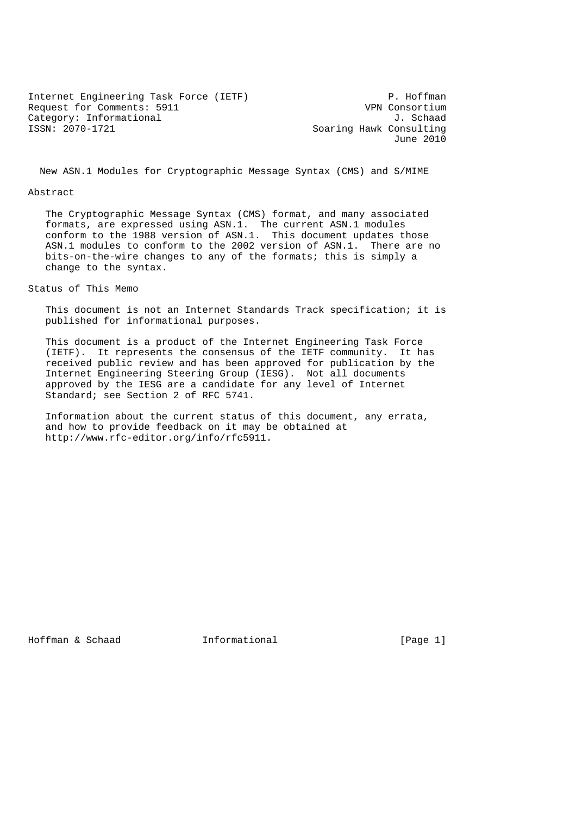Internet Engineering Task Force (IETF) P. Hoffman<br>Request for Comments: 5911 P. WPN Consortium Request for Comments: 5911 Category: Informational J. Schaad<br>
ISSN: 2070-1721 Category: Informational J. Soaring Hawk Consulting

Soaring Hawk Consulting June 2010

New ASN.1 Modules for Cryptographic Message Syntax (CMS) and S/MIME

#### Abstract

 The Cryptographic Message Syntax (CMS) format, and many associated formats, are expressed using ASN.1. The current ASN.1 modules conform to the 1988 version of ASN.1. This document updates those ASN.1 modules to conform to the 2002 version of ASN.1. There are no bits-on-the-wire changes to any of the formats; this is simply a change to the syntax.

Status of This Memo

 This document is not an Internet Standards Track specification; it is published for informational purposes.

 This document is a product of the Internet Engineering Task Force (IETF). It represents the consensus of the IETF community. It has received public review and has been approved for publication by the Internet Engineering Steering Group (IESG). Not all documents approved by the IESG are a candidate for any level of Internet Standard; see Section 2 of RFC 5741.

 Information about the current status of this document, any errata, and how to provide feedback on it may be obtained at http://www.rfc-editor.org/info/rfc5911.

Hoffman & Schaad 1nformational 1. [Page 1]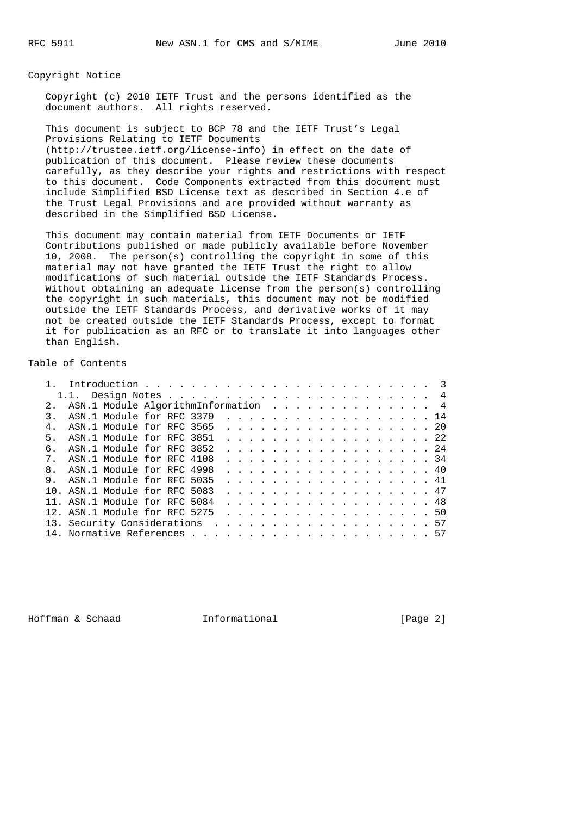Copyright Notice

 Copyright (c) 2010 IETF Trust and the persons identified as the document authors. All rights reserved.

 This document is subject to BCP 78 and the IETF Trust's Legal Provisions Relating to IETF Documents (http://trustee.ietf.org/license-info) in effect on the date of publication of this document. Please review these documents carefully, as they describe your rights and restrictions with respect to this document. Code Components extracted from this document must include Simplified BSD License text as described in Section 4.e of the Trust Legal Provisions and are provided without warranty as described in the Simplified BSD License.

 This document may contain material from IETF Documents or IETF Contributions published or made publicly available before November 10, 2008. The person(s) controlling the copyright in some of this material may not have granted the IETF Trust the right to allow modifications of such material outside the IETF Standards Process. Without obtaining an adequate license from the person(s) controlling the copyright in such materials, this document may not be modified outside the IETF Standards Process, and derivative works of it may not be created outside the IETF Standards Process, except to format it for publication as an RFC or to translate it into languages other than English.

Table of Contents

|               | ASN.1 Module AlgorithmInformation 4 |  |  |  |  |  |  |  |  |  |  |      |
|---------------|-------------------------------------|--|--|--|--|--|--|--|--|--|--|------|
| $\mathcal{R}$ | ASN.1 Module for RFC 3370           |  |  |  |  |  |  |  |  |  |  | . 14 |
|               | ASN.1 Module for RFC 3565           |  |  |  |  |  |  |  |  |  |  | . 20 |
| $5 -$         | ASN.1 Module for RFC 3851           |  |  |  |  |  |  |  |  |  |  | . 22 |
| б.            | ASN.1 Module for RFC 3852           |  |  |  |  |  |  |  |  |  |  | . 24 |
|               | 7. ASN.1 Module for RFC 4108        |  |  |  |  |  |  |  |  |  |  | . 34 |
| $\mathsf{R}$  | ASN.1 Module for RFC 4998           |  |  |  |  |  |  |  |  |  |  | . 40 |
|               | 9. ASN.1 Module for RFC 5035        |  |  |  |  |  |  |  |  |  |  | . 41 |
|               | 10. ASN.1 Module for RFC 5083       |  |  |  |  |  |  |  |  |  |  | . 47 |
|               | 11. ASN.1 Module for RFC 5084       |  |  |  |  |  |  |  |  |  |  | . 48 |
|               | 12. ASN.1 Module for RFC 5275       |  |  |  |  |  |  |  |  |  |  | . 50 |
|               |                                     |  |  |  |  |  |  |  |  |  |  |      |
|               |                                     |  |  |  |  |  |  |  |  |  |  |      |

Hoffman & Schaad **Informational Informational** [Page 2]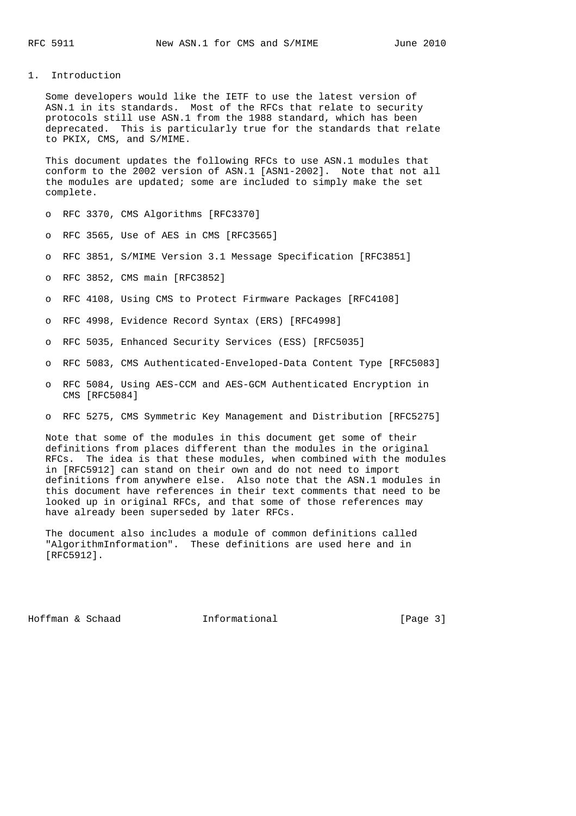### 1. Introduction

 Some developers would like the IETF to use the latest version of ASN.1 in its standards. Most of the RFCs that relate to security protocols still use ASN.1 from the 1988 standard, which has been deprecated. This is particularly true for the standards that relate to PKIX, CMS, and S/MIME.

 This document updates the following RFCs to use ASN.1 modules that conform to the 2002 version of ASN.1 [ASN1-2002]. Note that not all the modules are updated; some are included to simply make the set complete.

o RFC 3370, CMS Algorithms [RFC3370]

- o RFC 3565, Use of AES in CMS [RFC3565]
- o RFC 3851, S/MIME Version 3.1 Message Specification [RFC3851]
- o RFC 3852, CMS main [RFC3852]
- o RFC 4108, Using CMS to Protect Firmware Packages [RFC4108]
- o RFC 4998, Evidence Record Syntax (ERS) [RFC4998]
- o RFC 5035, Enhanced Security Services (ESS) [RFC5035]
- o RFC 5083, CMS Authenticated-Enveloped-Data Content Type [RFC5083]
- o RFC 5084, Using AES-CCM and AES-GCM Authenticated Encryption in CMS [RFC5084]
- o RFC 5275, CMS Symmetric Key Management and Distribution [RFC5275]

 Note that some of the modules in this document get some of their definitions from places different than the modules in the original RFCs. The idea is that these modules, when combined with the modules in [RFC5912] can stand on their own and do not need to import definitions from anywhere else. Also note that the ASN.1 modules in this document have references in their text comments that need to be looked up in original RFCs, and that some of those references may have already been superseded by later RFCs.

 The document also includes a module of common definitions called "AlgorithmInformation". These definitions are used here and in [RFC5912].

Hoffman & Schaad **Informational** [Page 3]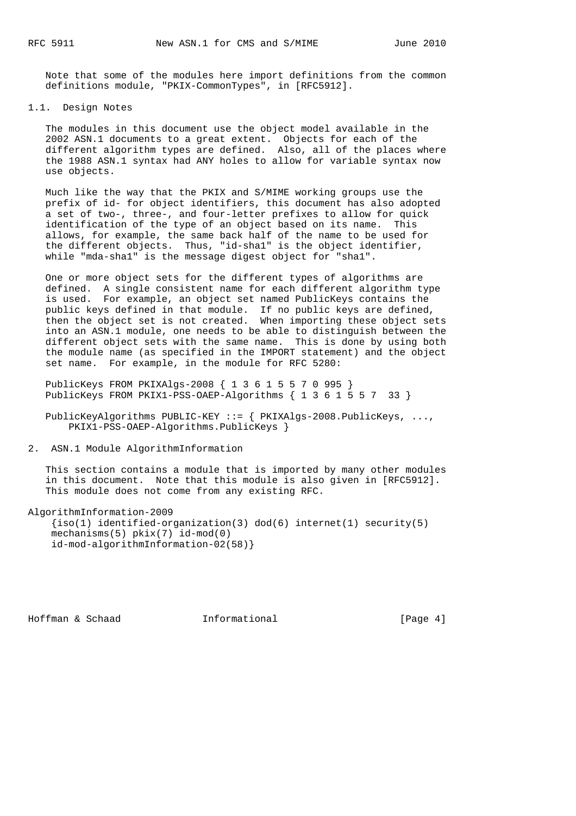Note that some of the modules here import definitions from the common definitions module, "PKIX-CommonTypes", in [RFC5912].

## 1.1. Design Notes

 The modules in this document use the object model available in the 2002 ASN.1 documents to a great extent. Objects for each of the different algorithm types are defined. Also, all of the places where the 1988 ASN.1 syntax had ANY holes to allow for variable syntax now use objects.

 Much like the way that the PKIX and S/MIME working groups use the prefix of id- for object identifiers, this document has also adopted a set of two-, three-, and four-letter prefixes to allow for quick identification of the type of an object based on its name. This allows, for example, the same back half of the name to be used for the different objects. Thus, "id-sha1" is the object identifier, while "mda-sha1" is the message digest object for "sha1".

 One or more object sets for the different types of algorithms are defined. A single consistent name for each different algorithm type is used. For example, an object set named PublicKeys contains the public keys defined in that module. If no public keys are defined, then the object set is not created. When importing these object sets into an ASN.1 module, one needs to be able to distinguish between the different object sets with the same name. This is done by using both the module name (as specified in the IMPORT statement) and the object set name. For example, in the module for RFC 5280:

 PublicKeys FROM PKIXAlgs-2008 { 1 3 6 1 5 5 7 0 995 } PublicKeys FROM PKIX1-PSS-OAEP-Algorithms { 1 3 6 1 5 5 7 33 }

 PublicKeyAlgorithms PUBLIC-KEY ::= { PKIXAlgs-2008.PublicKeys, ..., PKIX1-PSS-OAEP-Algorithms.PublicKeys }

2. ASN.1 Module AlgorithmInformation

 This section contains a module that is imported by many other modules in this document. Note that this module is also given in [RFC5912]. This module does not come from any existing RFC.

AlgorithmInformation-2009

```
{s(1) identified-organization(3) dod(6) internet(1) security(5)
 mechanisms(5) pkix(7) id-mod(0)
 id-mod-algorithmInformation-02(58)}
```
Hoffman & Schaad **Informational Informational** [Page 4]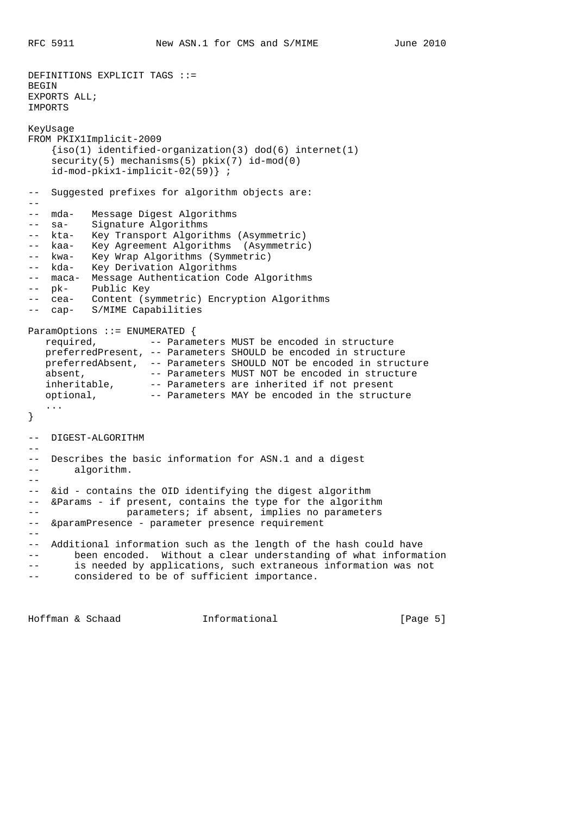```
DEFINITIONS EXPLICIT TAGS ::=
BEGIN
EXPORTS ALL;
IMPORTS
KeyUsage
FROM PKIX1Implicit-2009
     {iso(1) identified-organization(3) dod(6) internet(1)
   security(5) mechanisms(5) pkix(7) id-mod(0)
    id-mod-pkix1-implicit-02(59)} ;
-- Suggested prefixes for algorithm objects are:
--
-- mda- Message Digest Algorithms
-- sa- Signature Algorithms
-- kta- Key Transport Algorithms (Asymmetric)
-- kaa- Key Agreement Algorithms (Asymmetric)
-- kwa- Key Wrap Algorithms (Symmetric)
-- kda- Key Derivation Algorithms
-- maca- Message Authentication Code Algorithms
-- pk- Public Key<br>-- Gea- Content (s)
-- cea- Content (symmetric) Encryption Algorithms
-- cap- S/MIME Capabilities
ParamOptions ::= ENUMERATED {
   required, -- Parameters MUST be encoded in structure
   preferredPresent, -- Parameters SHOULD be encoded in structure
 preferredAbsent, -- Parameters SHOULD NOT be encoded in structure
absent, The Parameters MUST NOT be encoded in structure
 inheritable, -- Parameters are inherited if not present
 optional, -- Parameters MAY be encoded in the structure
    ...
}
-- DIGEST-ALGORITHM
--- Describes the basic information for ASN.1 and a digest
-- algorithm.
--- &id - contains the OID identifying the digest algorithm
-- &Params - if present, contains the type for the algorithm
-- parameters; if absent, implies no parameters
-- &paramPresence - parameter presence requirement
--
-- Additional information such as the length of the hash could have
-- been encoded. Without a clear understanding of what information
-- is needed by applications, such extraneous information was not
       considered to be of sufficient importance.
```
Hoffman & Schaad **Informational Informational** [Page 5]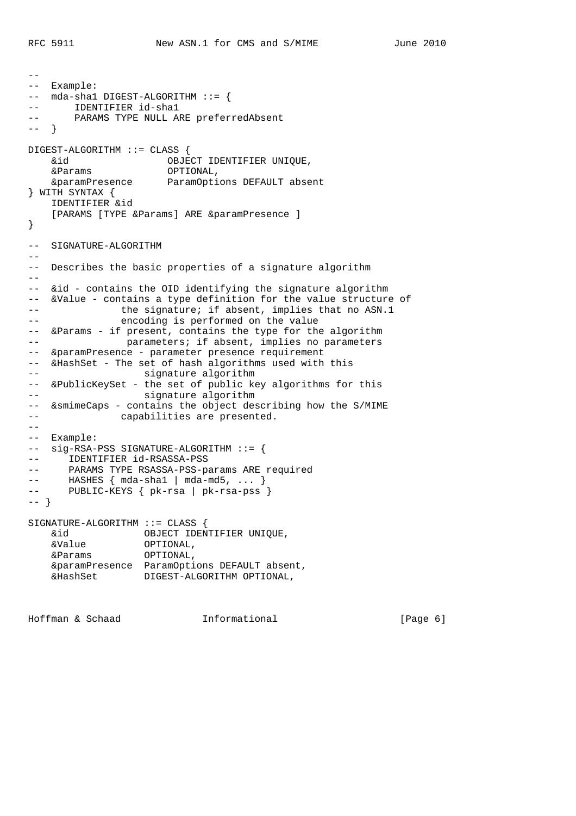```
--
-- Example:
-- mda-sha1 DIGEST-ALGORITHM ::= {
-- IDENTIFIER id-shal<br>-- PARAMS TYPE NIILL A
      PARAMS TYPE NULL ARE preferredAbsent
-- }
DIGEST-ALGORITHM ::= CLASS {
 &id OBJECT IDENTIFIER UNIQUE,
 &Params OPTIONAL,
    &paramPresence ParamOptions DEFAULT absent
} WITH SYNTAX {
    IDENTIFIER &id
   [PARAMS [TYPE &Params] ARE &paramPresence ]
}
-- SIGNATURE-ALGORITHM
--
-- Describes the basic properties of a signature algorithm
--- &id - contains the OID identifying the signature algorithm
-- &Value - contains a type definition for the value structure of
-- the signature; if absent, implies that no ASN.1
-- encoding is performed on the value
-- &Params - if present, contains the type for the algorithm
-- parameters; if absent, implies no parameters
-- &paramPresence - parameter presence requirement
-- &HashSet - The set of hash algorithms used with this
-- signature algorithm
-- &PublicKeySet - the set of public key algorithms for this
-- signature algorithm
-- &smimeCaps - contains the object describing how the S/MIME
-- capabilities are presented.
- --- Example:
-- sig-RSA-PSS SIGNATURE-ALGORITHM ::= {
-- IDENTIFIER id-RSASSA-PSS
-- PARAMS TYPE RSASSA-PSS-params ARE required
-- HASHES { mda-sha1 | mda-md5, ... }
-- PUBLIC-KEYS { pk-rsa | pk-rsa-pss }
-- }
SIGNATURE-ALGORITHM ::= CLASS {
    &id OBJECT IDENTIFIER UNIQUE,
 &Value OPTIONAL,
 &Params OPTIONAL,
    &paramPresence ParamOptions DEFAULT absent,
    &HashSet DIGEST-ALGORITHM OPTIONAL,
```
Hoffman & Schaad **Informational** 1. [Page 6]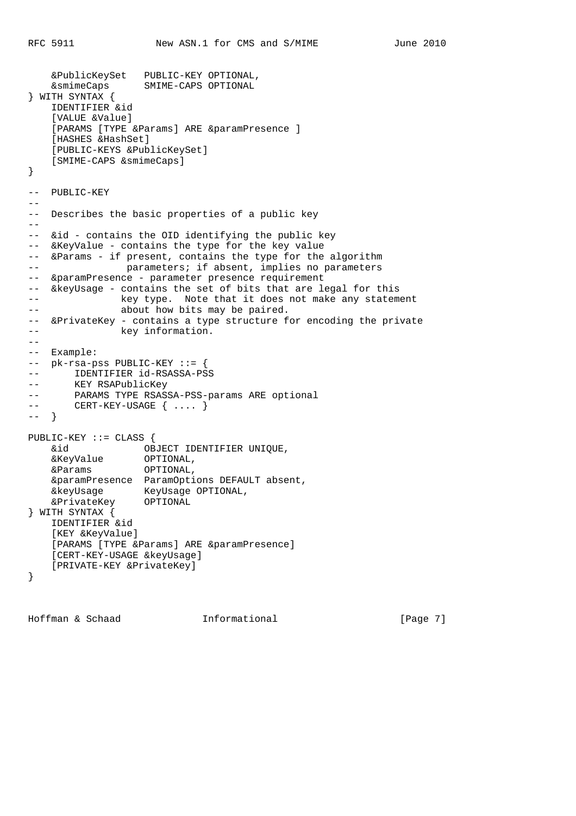```
 &PublicKeySet PUBLIC-KEY OPTIONAL,
    &smimeCaps SMIME-CAPS OPTIONAL
} WITH SYNTAX {
    IDENTIFIER &id
     [VALUE &Value]
    [PARAMS [TYPE &Params] ARE &paramPresence ]
     [HASHES &HashSet]
     [PUBLIC-KEYS &PublicKeySet]
    [SMIME-CAPS &smimeCaps]
}
-- PUBLIC-KEY
--
-- Describes the basic properties of a public key
--- &id - contains the OID identifying the public key
-- &KeyValue - contains the type for the key value
-- &Params - if present, contains the type for the algorithm
-- parameters; if absent, implies no parameters
-- &paramPresence - parameter presence requirement
-- &keyUsage - contains the set of bits that are legal for this
-- key type. Note that it does not make any statement
-- about how bits may be paired.
-- &PrivateKey - contains a type structure for encoding the private
-- key information.
--
-- Example:
-- pk-rsa-pss PUBLIC-KEY ::= {
-- IDENTIFIER id-RSASSA-PSS
-- KEY RSAPublicKey
-- PARAMS TYPE RSASSA-PSS-params ARE optional<br>-- CERT-KEY-USAGE { .... }
      CERT - KEY - USAGE { \ldots }
-- }
PUBLIC-KEY ::= CLASS {
    &id OBJECT IDENTIFIER UNIQUE,
 &KeyValue OPTIONAL,
 &Params OPTIONAL,
    &paramPresence ParamOptions DEFAULT absent,
 &keyUsage KeyUsage OPTIONAL,
 &PrivateKey OPTIONAL
} WITH SYNTAX {
    IDENTIFIER &id
    [KEY &KeyValue]
   [PARAMS [TYPE &Params] ARE &paramPresence]
     [CERT-KEY-USAGE &keyUsage]
    [PRIVATE-KEY &PrivateKey]
}
```
Hoffman & Schaad **Informational** [Page 7]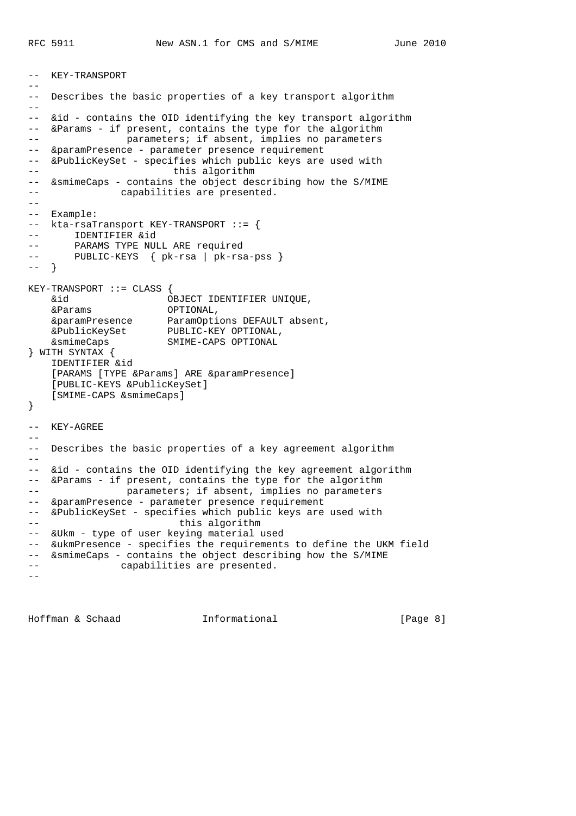```
-- KEY-TRANSPORT
--
-- Describes the basic properties of a key transport algorithm
-1-- &id - contains the OID identifying the key transport algorithm
-- &Params - if present, contains the type for the algorithm
-- parameters; if absent, implies no parameters
-- &paramPresence - parameter presence requirement
-- &PublicKeySet - specifies which public keys are used with
-- this algorithm
-- &smimeCaps - contains the object describing how the S/MIME
-- capabilities are presented.
--- Example:
-- kta-rsaTransport KEY-TRANSPORT ::= {
-- IDENTIFIER &id
-- PARAMS TYPE NULL ARE required
-- PUBLIC-KEYS { pk-rsa | pk-rsa-pss }
-- }
KEY-TRANSPORT ::= CLASS {
    &id OBJECT IDENTIFIER UNIQUE,
    &Params OPTIONAL,
 &paramPresence ParamOptions DEFAULT absent,
 &PublicKeySet PUBLIC-KEY OPTIONAL,
    &smimeCaps SMIME-CAPS OPTIONAL
} WITH SYNTAX {
    IDENTIFIER &id
   [PARAMS [TYPE &Params] ARE &paramPresence]
    [PUBLIC-KEYS &PublicKeySet]
    [SMIME-CAPS &smimeCaps]
}
-- KEY-AGREE
--
-- Describes the basic properties of a key agreement algorithm
--- &id - contains the OID identifying the key agreement algorithm
-- &Params - if present, contains the type for the algorithm
-- parameters; if absent, implies no parameters
-- &paramPresence - parameter presence requirement
-- &PublicKeySet - specifies which public keys are used with
-- this algorithm
-- &Ukm - type of user keying material used
-- &ukmPresence - specifies the requirements to define the UKM field
-- &smimeCaps - contains the object describing how the S/MIME
-- capabilities are presented.
--
```
Hoffman & Schaad **Informational Informational** [Page 8]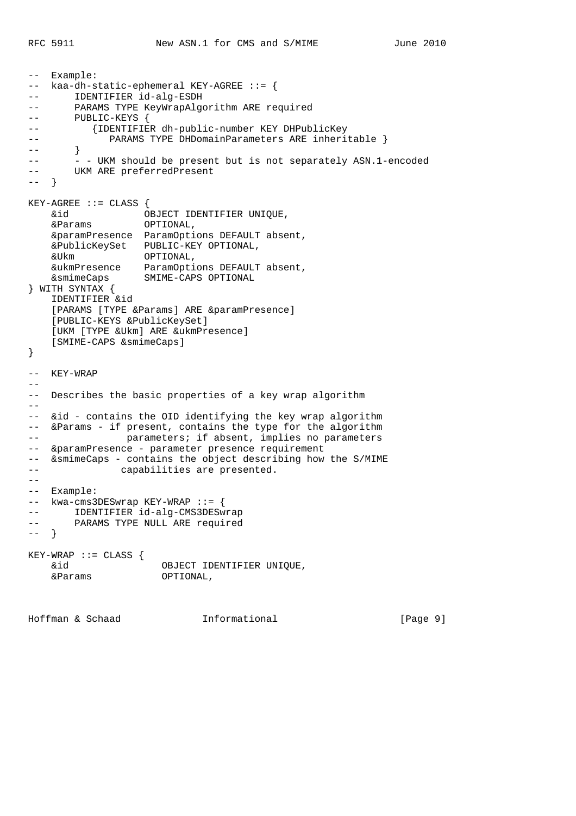-- Example: -- kaa-dh-static-ephemeral KEY-AGREE ::= { -- IDENTIFIER id-alg-ESDH -- PARAMS TYPE KeyWrapAlgorithm ARE required -- PARAMS IIPE RO<br>-- PUBLIC-KEYS { -- {IDENTIFIER dh-public-number KEY DHPublicKey -- PARAMS TYPE DHDomainParameters ARE inheritable } -- } - - UKM should be present but is not separately ASN.1-encoded UKM ARE preferredPresent -- }  $KEY-AGREE$  ::=  $CLASS$  { &id OBJECT IDENTIFIER UNIQUE, &Params OPTIONAL, &paramPresence ParamOptions DEFAULT absent, &PublicKeySet PUBLIC-KEY OPTIONAL, &Ukm OPTIONAL, &ukmPresence ParamOptions DEFAULT absent, &smimeCaps SMIME-CAPS OPTIONAL } WITH SYNTAX { IDENTIFIER &id [PARAMS [TYPE &Params] ARE &paramPresence] [PUBLIC-KEYS &PublicKeySet] [UKM [TYPE &Ukm] ARE &ukmPresence] [SMIME-CAPS &smimeCaps] } -- KEY-WRAP  $-$ -- Describes the basic properties of a key wrap algorithm  $-$ -- &id - contains the OID identifying the key wrap algorithm -- &Params - if present, contains the type for the algorithm -- parameters; if absent, implies no parameters -- &paramPresence - parameter presence requirement -- &smimeCaps - contains the object describing how the S/MIME -- capabilities are presented.  $-$ -- Example: -- kwa-cms3DESwrap KEY-WRAP ::= { -- IDENTIFIER id-alg-CMS3DESwrap -- PARAMS TYPE NULL ARE required -- } KEY-WRAP ::= CLASS { &id OBJECT IDENTIFIER UNIQUE, &Params OPTIONAL,

Hoffman & Schaad Informational [Page 9]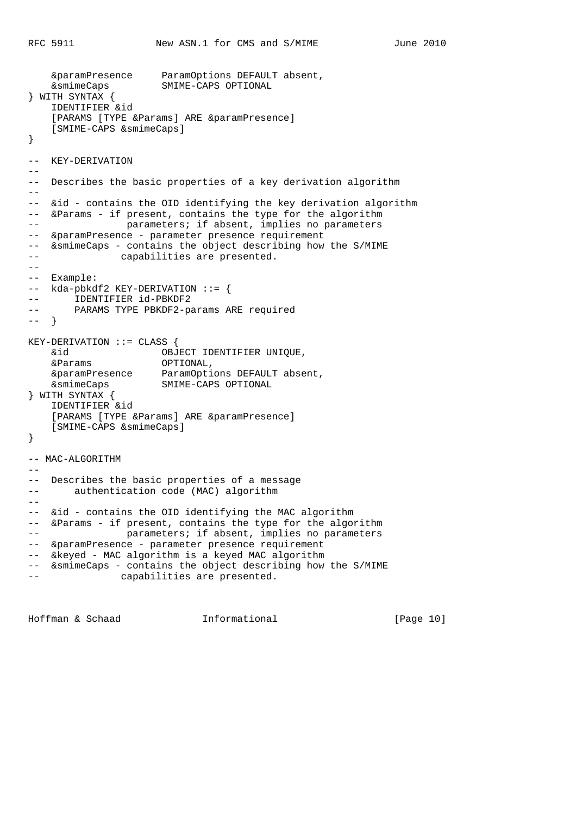```
 &paramPresence ParamOptions DEFAULT absent,
    &smimeCaps SMIME-CAPS OPTIONAL
} WITH SYNTAX {
    IDENTIFIER &id
   [PARAMS [TYPE &Params] ARE &paramPresence]
    [SMIME-CAPS &smimeCaps]
}
-- KEY-DERIVATION
--
-- Describes the basic properties of a key derivation algorithm
--
-- &id - contains the OID identifying the key derivation algorithm
-- &Params - if present, contains the type for the algorithm
-- parameters; if absent, implies no parameters
-- &paramPresence - parameter presence requirement
-- &smimeCaps - contains the object describing how the S/MIME
-- capabilities are presented.
--
-- Example:
-- kda-pbkdf2 KEY-DERIVATION ::= {
-- IDENTIFIER id-PBKDF2
-- PARAMS TYPE PBKDF2-params ARE required
-- }
KEY-DERIVATION ::= CLASS {
 &id OBJECT IDENTIFIER UNIQUE,
 &Params OPTIONAL,
 &paramPresence ParamOptions DEFAULT absent,
 &smimeCaps SMIME-CAPS OPTIONAL
} WITH SYNTAX {
    IDENTIFIER &id
   [PARAMS [TYPE &Params] ARE &paramPresence]
    [SMIME-CAPS &smimeCaps]
}
-- MAC-ALGORITHM
--- Describes the basic properties of a message
-- authentication code (MAC) algorithm
- --- &id - contains the OID identifying the MAC algorithm
-- &Params - if present, contains the type for the algorithm
-- parameters; if absent, implies no parameters
-- &paramPresence - parameter presence requirement
-- &keyed - MAC algorithm is a keyed MAC algorithm
-- &smimeCaps - contains the object describing how the S/MIME
              capabilities are presented.
```
Hoffman & Schaad Informational [Page 10]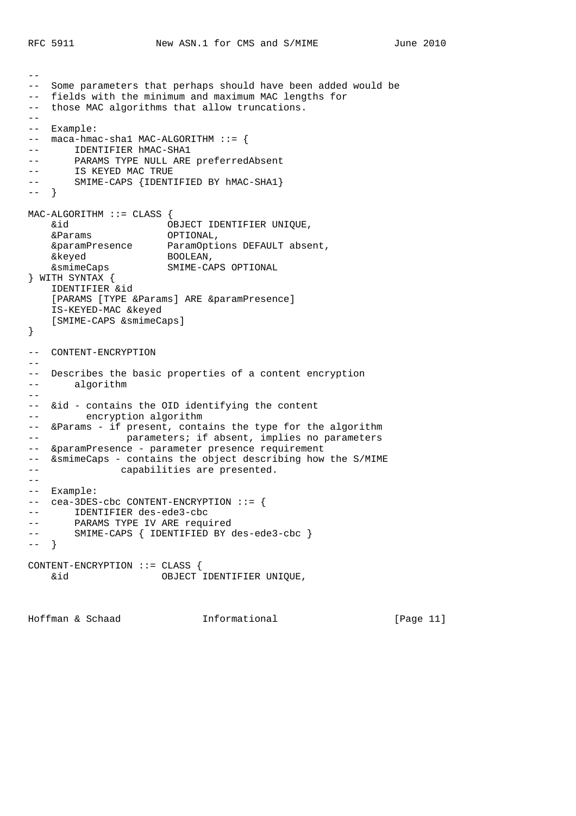$-$ 

```
-- Some parameters that perhaps should have been added would be
-- fields with the minimum and maximum MAC lengths for
-- those MAC algorithms that allow truncations.
- --- Example:
-- maca-hmac-sha1 MAC-ALGORITHM ::= {
-- IDENTIFIER hMAC-SHA1
-- PARAMS TYPE NULL ARE preferredAbsent
-- IS KEYED MAC TRUE<br>-- IS KEYED MAC TRUE<br>-- SMIME-CADE from
      SMIME-CAPS {IDENTIFIED BY hMAC-SHA1}
-- }
MAC-ALGORITHM ::= CLASS {
 &id OBJECT IDENTIFIER UNIQUE,
 &Params OPTIONAL,
 &paramPresence ParamOptions DEFAULT absent,
 &keyed BOOLEAN,
 &smimeCaps SMIME-CAPS OPTIONAL
} WITH SYNTAX {
    IDENTIFIER &id
   [PARAMS [TYPE &Params] ARE &paramPresence]
    IS-KEYED-MAC &keyed
    [SMIME-CAPS &smimeCaps]
}
-- CONTENT-ENCRYPTION
- --- Describes the basic properties of a content encryption
-- algorithm
--
-- &id - contains the OID identifying the content
-- encryption algorithm
-- &Params - if present, contains the type for the algorithm
-- parameters; if absent, implies no parameters
-- &paramPresence - parameter presence requirement
-- &smimeCaps - contains the object describing how the S/MIME
-- capabilities are presented.
--- Example:
-- cea-3DES-cbc CONTENT-ENCRYPTION ::= {
-- IDENTIFIER des-ede3-cbc
-- PARAMS TYPE IV ARE required
-- SMIME-CAPS { IDENTIFIED BY des-ede3-cbc }
-- }
CONTENT-ENCRYPTION ::= CLASS {
    &id OBJECT IDENTIFIER UNIQUE,
```
Hoffman & Schaad Informational [Page 11]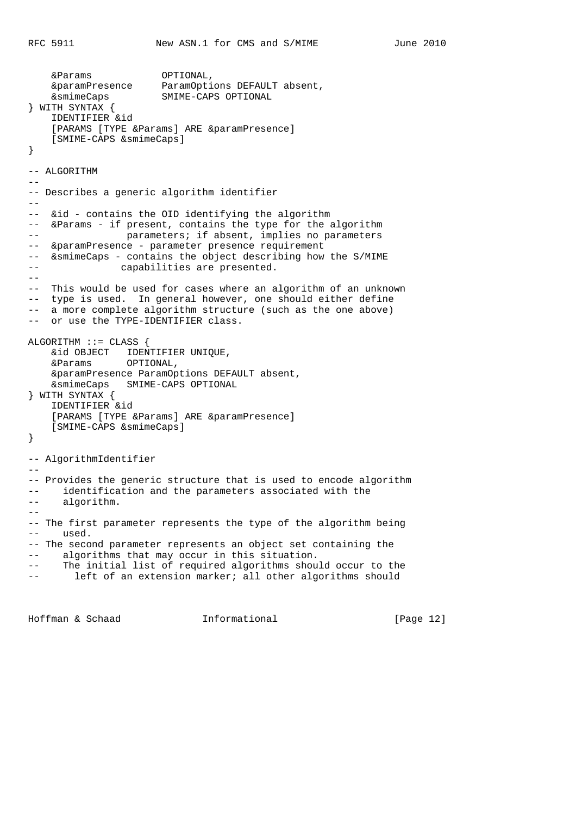```
 &Params OPTIONAL,
 &paramPresence ParamOptions DEFAULT absent,
 &smimeCaps SMIME-CAPS OPTIONAL
} WITH SYNTAX {
    IDENTIFIER &id
   [PARAMS [TYPE &Params] ARE &paramPresence]
     [SMIME-CAPS &smimeCaps]
}
-- ALGORITHM
--
-- Describes a generic algorithm identifier
--- &id - contains the OID identifying the algorithm
-- &Params - if present, contains the type for the algorithm
-- parameters; if absent, implies no parameters
-- &paramPresence - parameter presence requirement
-- &smimeCaps - contains the object describing how the S/MIME
-- capabilities are presented.
--- This would be used for cases where an algorithm of an unknown
-- type is used. In general however, one should either define
-- a more complete algorithm structure (such as the one above)
-- or use the TYPE-IDENTIFIER class.
ALGORITHM :: = CLASS \{ &id OBJECT IDENTIFIER UNIQUE,
    &Params OPTIONAL,
    &paramPresence ParamOptions DEFAULT absent,
    &smimeCaps SMIME-CAPS OPTIONAL
} WITH SYNTAX {
    IDENTIFIER &id
   [PARAMS [TYPE &Params] ARE &paramPresence]
    [SMIME-CAPS &smimeCaps]
}
-- AlgorithmIdentifier
- --- Provides the generic structure that is used to encode algorithm
-- identification and the parameters associated with the
-- algorithm.
--- The first parameter represents the type of the algorithm being
-- used.
-- The second parameter represents an object set containing the
-- algorithms that may occur in this situation.
-- The initial list of required algorithms should occur to the
       left of an extension marker; all other algorithms should
```
Hoffman & Schaad Informational [Page 12]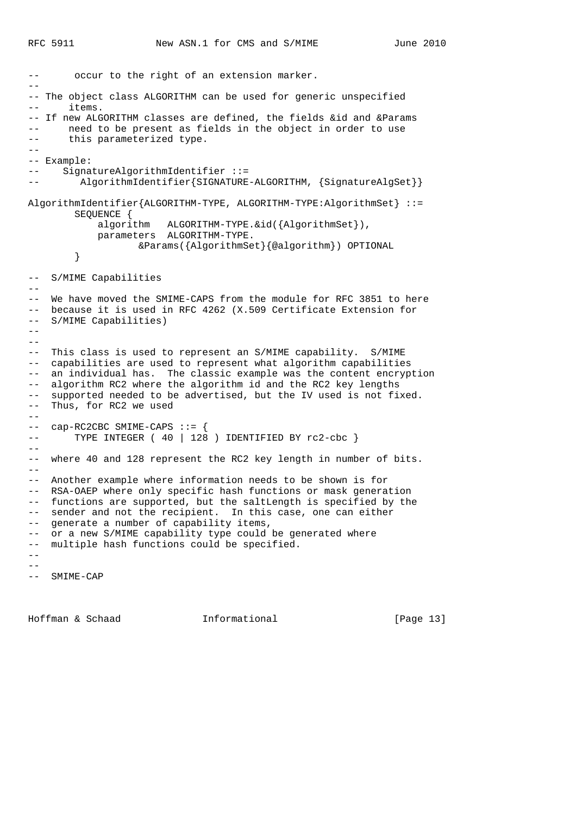-- occur to the right of an extension marker. -- -- The object class ALGORITHM can be used for generic unspecified -- items. -- If new ALGORITHM classes are defined, the fields &id and &Params -- need to be present as fields in the object in order to use -- this parameterized type. -- -- Example: -- SignatureAlgorithmIdentifier ::= -- AlgorithmIdentifier{SIGNATURE-ALGORITHM, {SignatureAlgSet}} AlgorithmIdentifier{ALGORITHM-TYPE, ALGORITHM-TYPE:AlgorithmSet} ::= SEQUENCE { algorithm ALGORITHM-TYPE.&id({AlgorithmSet}), parameters ALGORITHM-TYPE. &Params({AlgorithmSet}{@algorithm}) OPTIONAL } -- S/MIME Capabilities -- -- We have moved the SMIME-CAPS from the module for RFC 3851 to here -- because it is used in RFC 4262 (X.509 Certificate Extension for -- S/MIME Capabilities) -- -- -- This class is used to represent an S/MIME capability. S/MIME -- capabilities are used to represent what algorithm capabilities -- an individual has. The classic example was the content encryption -- algorithm RC2 where the algorithm id and the RC2 key lengths -- supported needed to be advertised, but the IV used is not fixed. -- Thus, for RC2 we used  $--$  cap-RC2CBC SMIME-CAPS  $::=$  { -- TYPE INTEGER ( 40 | 128 ) IDENTIFIED BY rc2-cbc }  $-$ -- where 40 and 128 represent the RC2 key length in number of bits.  $-\frac{1}{2}$ -- Another example where information needs to be shown is for -- RSA-OAEP where only specific hash functions or mask generation -- functions are supported, but the saltLength is specified by the -- sender and not the recipient. In this case, one can either -- generate a number of capability items, -- or a new S/MIME capability type could be generated where -- multiple hash functions could be specified.  $-$ -- -- SMIME-CAP

Hoffman & Schaad Informational [Page 13]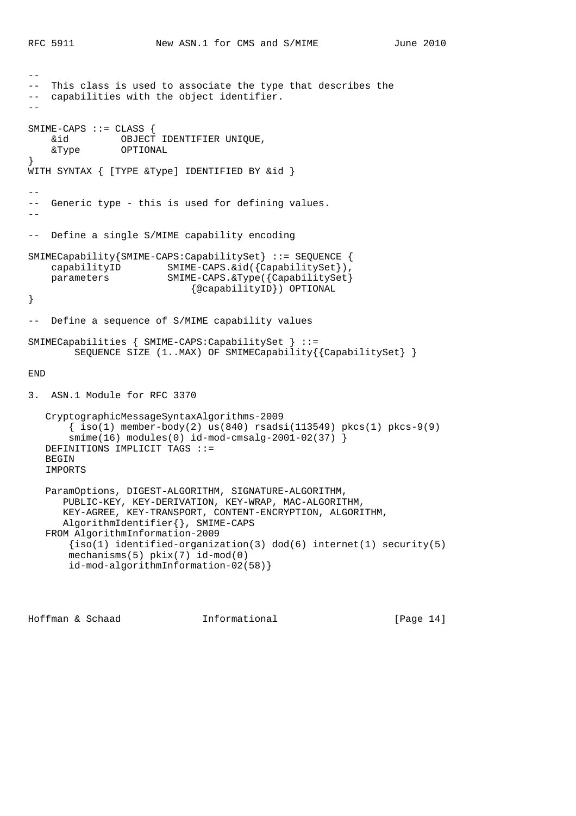```
--
-- This class is used to associate the type that describes the
-- capabilities with the object identifier.
- -SMIME-CAPS ::= CLASS {<br>
\&id OBJECT
               OBJECT IDENTIFIER UNIQUE,
     &Type OPTIONAL
}
WITH SYNTAX { [TYPE &Type] IDENTIFIED BY &id }
--
-- Generic type - this is used for defining values.
--
-- Define a single S/MIME capability encoding
SMIMECapability{SMIME-CAPS:CapabilitySet} ::= SEQUENCE {
    capabilityID SMIME-CAPS.&id({CapabilitySet}),
    parameters SMIME-CAPS.&Type({CapabilitySet}
                              {@capabilityID}) OPTIONAL
}
-- Define a sequence of S/MIME capability values
SMIMECapabilities { SMIME-CAPS:CapabilitySet } ::=
        SEQUENCE SIZE (1..MAX) OF SMIMECapability{{CapabilitySet} }
END
3. ASN.1 Module for RFC 3370
    CryptographicMessageSyntaxAlgorithms-2009
       \{\text{iso}(1) \text{ member-body}(2) \text{ us}(840) \text{ rsadsi}(113549) \text{ pkcs}(1) \text{ pkcs-9}(9)smin(e(16) modules(0) id-mod-cmsalq-2001-02(37) ) DEFINITIONS IMPLICIT TAGS ::=
    BEGIN
    IMPORTS
    ParamOptions, DIGEST-ALGORITHM, SIGNATURE-ALGORITHM,
       PUBLIC-KEY, KEY-DERIVATION, KEY-WRAP, MAC-ALGORITHM,
       KEY-AGREE, KEY-TRANSPORT, CONTENT-ENCRYPTION, ALGORITHM,
       AlgorithmIdentifier{}, SMIME-CAPS
    FROM AlgorithmInformation-2009
      {iso(1)} identified-organization(3) dod(6) internet(1) security(5)
        mechanisms(5) pkix(7) id-mod(0)
        id-mod-algorithmInformation-02(58)}
```
Hoffman & Schaad Informational [Page 14]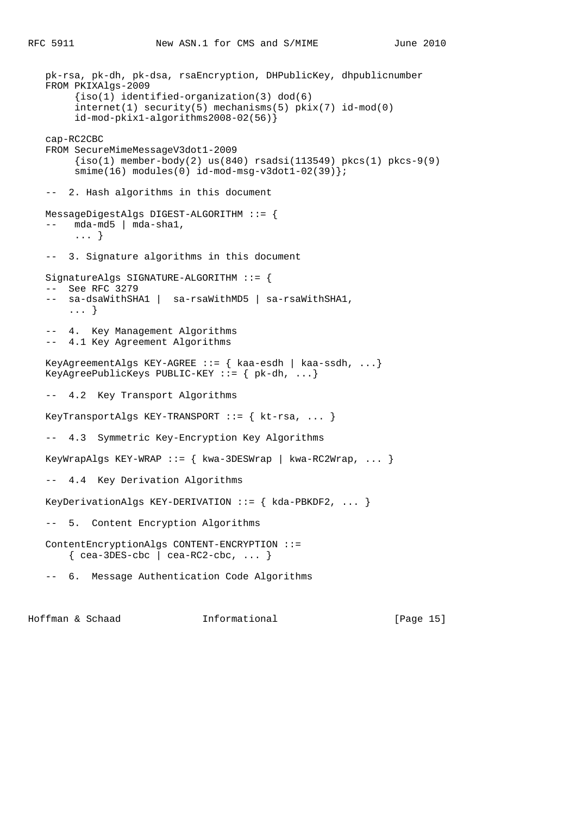```
 pk-rsa, pk-dh, pk-dsa, rsaEncryption, DHPublicKey, dhpublicnumber
   FROM PKIXAlgs-2009
         {iso(1) identified-organization(3) dod(6)
        internet(1) security(5) mechanisms(5) pkix(7) id-mod(0)
        id-mod-pkix1-algorithms2008-02(56)}
   cap-RC2CBC
   FROM SecureMimeMessageV3dot1-2009
       \{iso(1) member-body(2) us(840) rsadsi(113549) pkcs(1) pkcs-9(9)
       smime(16) modules(0) id-mod-msg-v3dot1-02(39)};
   -- 2. Hash algorithms in this document
   MessageDigestAlgs DIGEST-ALGORITHM ::= {
  -- mda-md5 | mda-sha1,
        ... }
   -- 3. Signature algorithms in this document
   SignatureAlgs SIGNATURE-ALGORITHM ::= {
 -- See RFC 3279
 -- sa-dsaWithSHA1 | sa-rsaWithMD5 | sa-rsaWithSHA1,
       ... }
   -- 4. Key Management Algorithms
   -- 4.1 Key Agreement Algorithms
   KeyAgreementAlgs KEY-AGREE ::= { kaa-esdh | kaa-ssdh, ...}
  KeyAgreePublicKeys PUBLIC-KEY ::= \{ pk-dh, ... \} -- 4.2 Key Transport Algorithms
  KeyTransportAlgs KEY-TRANSPORT ::= { kt-rsa, ... }
   -- 4.3 Symmetric Key-Encryption Key Algorithms
  KeyWrapAlgs KEY-WRAP ::= \{ kwa-3DESWrap \mid kwa-RC2Wrap, \ldots \} -- 4.4 Key Derivation Algorithms
   KeyDerivationAlgs KEY-DERIVATION ::= { kda-PBKDF2, ... }
   -- 5. Content Encryption Algorithms
   ContentEncryptionAlgs CONTENT-ENCRYPTION ::=
      \{ cea-3DES-cbc \mid cea-RC2-cbc, ... \} -- 6. Message Authentication Code Algorithms
```
Hoffman & Schaad Informational [Page 15]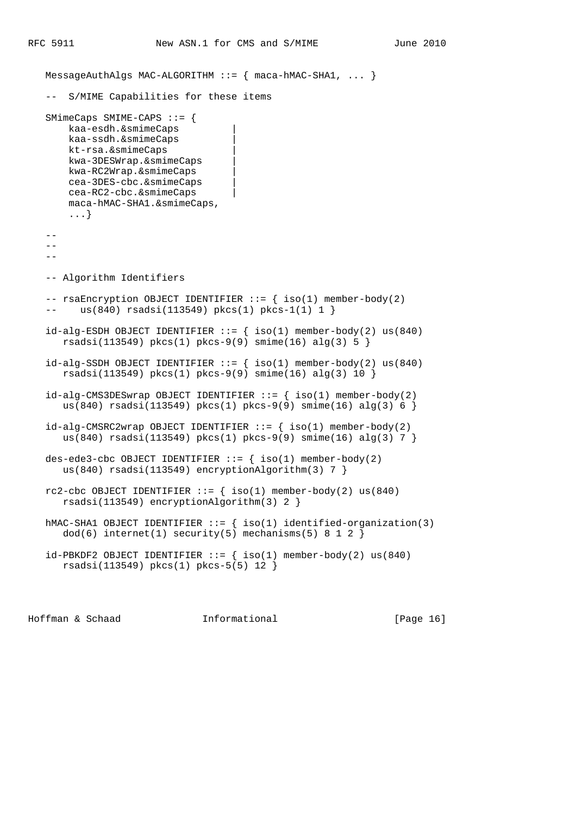MessageAuthAlgs MAC-ALGORITHM  $::=$   ${$  maca-hMAC-SHA1, ...  $}$  -- S/MIME Capabilities for these items SMimeCaps SMIME-CAPS ::= { kaa-esdh.&smimeCaps | kaa-ssdh.&smimeCaps | kt-rsa.&smimeCaps | kwa-3DESWrap.&smimeCaps | kwa-RC2Wrap.&smimeCaps | cea-3DES-cbc.&smimeCaps | cea-RC2-cbc.&smimeCaps | maca-hMAC-SHA1.&smimeCaps, ...}  $-$  -- -- Algorithm Identifiers -- rsaEncryption OBJECT IDENTIFIER ::= { iso(1) member-body(2) -- us(840) rsadsi(113549) pkcs(1) pkcs-1(1) 1 }  $id-alg-ESDH$  OBJECT IDENTIFIER  $::=$  {  $iso(1)$  member-body(2) us(840) rsadsi(113549) pkcs(1) pkcs-9(9) smime(16) alg(3) 5 }  $id-alg-SSDH$  OBJECT IDENTIFIER  $::=$  {  $iso(1)$  member-body(2) us(840) rsadsi(113549) pkcs(1) pkcs-9(9) smime(16) alg(3) 10 }  $id-alg-CMS3DESwrap$  OBJECT IDENTIFIER  $::=$  {  $iso(1)$  member-body(2) us(840) rsadsi(113549) pkcs(1) pkcs-9(9) smime(16) alg(3) 6 }  $id-alg-CMSRC2wrap OBJECT IDENTIFIER ::= { iso(1) member-body(2) }$ us(840) rsadsi(113549) pkcs(1) pkcs-9(9) smime(16) alg(3) 7 } des-ede3-cbc OBJECT IDENTIFIER  $::=$  { iso(1) member-body(2) us(840) rsadsi(113549) encryptionAlgorithm(3) 7 } rc2-cbc OBJECT IDENTIFIER  $::=$  { iso(1) member-body(2) us(840) rsadsi(113549) encryptionAlgorithm(3) 2 } hMAC-SHA1 OBJECT IDENTIFIER  $::=$  { iso(1) identified-organization(3)  $dod(6)$  internet(1) security(5) mechanisms(5) 8 1 2 }  $id-PBKDF2$  OBJECT IDENTIFIER ::=  $\{ \text{iso}(1) \text{ member-body}(2) \text{ us}(840) \}$ rsadsi(113549) pkcs(1) pkcs-5(5) 12 }

Hoffman & Schaad Informational [Page 16]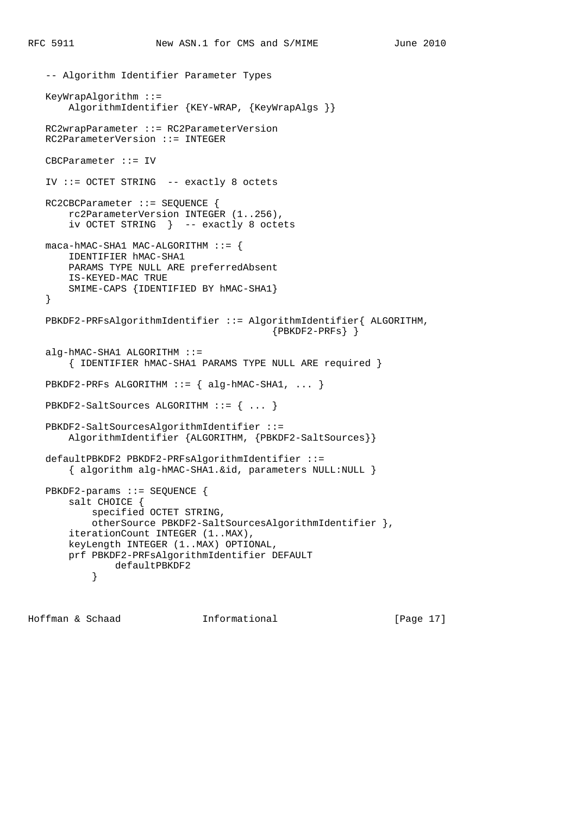```
 -- Algorithm Identifier Parameter Types
   KeyWrapAlgorithm ::=
      AlgorithmIdentifier {KEY-WRAP, {KeyWrapAlgs }}
   RC2wrapParameter ::= RC2ParameterVersion
   RC2ParameterVersion ::= INTEGER
   CBCParameter ::= IV
   IV ::= OCTET STRING -- exactly 8 octets
   RC2CBCParameter ::= SEQUENCE {
       rc2ParameterVersion INTEGER (1..256),
       iv OCTET STRING } -- exactly 8 octets
  maca-hMAC-SHA1 MAC-ALGORITHM ::= IDENTIFIER hMAC-SHA1
       PARAMS TYPE NULL ARE preferredAbsent
       IS-KEYED-MAC TRUE
       SMIME-CAPS {IDENTIFIED BY hMAC-SHA1}
   }
   PBKDF2-PRFsAlgorithmIdentifier ::= AlgorithmIdentifier{ ALGORITHM,
                                          {PBKDF2-PRFs} alg-hMAC-SHA1 ALGORITHM ::=
       { IDENTIFIER hMAC-SHA1 PARAMS TYPE NULL ARE required }
  PBKDF2-PRFs ALGORITHM ::= { alg-hMAC-SHA1, ... }
   PBKDF2-SaltSources ALGORITHM ::= { ... }
   PBKDF2-SaltSourcesAlgorithmIdentifier ::=
       AlgorithmIdentifier {ALGORITHM, {PBKDF2-SaltSources}}
   defaultPBKDF2 PBKDF2-PRFsAlgorithmIdentifier ::=
       { algorithm alg-hMAC-SHA1.&id, parameters NULL:NULL }
   PBKDF2-params ::= SEQUENCE {
       salt CHOICE {
           specified OCTET STRING,
           otherSource PBKDF2-SaltSourcesAlgorithmIdentifier },
       iterationCount INTEGER (1..MAX),
       keyLength INTEGER (1..MAX) OPTIONAL,
       prf PBKDF2-PRFsAlgorithmIdentifier DEFAULT
           defaultPBKDF2<br>}
 }
```
Hoffman & Schaad Informational [Page 17]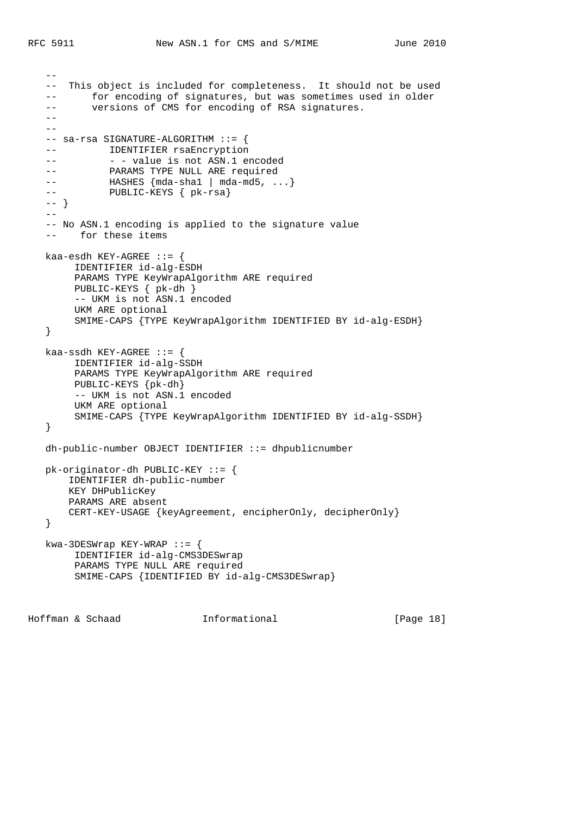```
 --
    -- This object is included for completeness. It should not be used
  -- for encoding of signatures, but was sometimes used in older<br>-- versions of CMS for encoding of RSA signatures.
          versions of CMS for encoding of RSA signatures.
   - -- - -- sa-rsa SIGNATURE-ALGORITHM ::= {
  -- IDENTIFIER rsaEncryption
  -- - - value is not ASN.1 encoded
  -- PARAMS TYPE NULL ARE required
   -- HASHES {mda-sha1 | mda-md5, ...}
   -- PUBLIC-KEYS { pk-rsa}
   -- }
  - - -- No ASN.1 encoding is applied to the signature value
   -- for these items
  kaa-esdh KEY-AGREE ::= {
        IDENTIFIER id-alg-ESDH
        PARAMS TYPE KeyWrapAlgorithm ARE required
        PUBLIC-KEYS { pk-dh }
        -- UKM is not ASN.1 encoded
        UKM ARE optional
        SMIME-CAPS {TYPE KeyWrapAlgorithm IDENTIFIED BY id-alg-ESDH}
    }
  kaa-ssdh KEY-AGREE ::= {
        IDENTIFIER id-alg-SSDH
        PARAMS TYPE KeyWrapAlgorithm ARE required
        PUBLIC-KEYS {pk-dh}
        -- UKM is not ASN.1 encoded
        UKM ARE optional
        SMIME-CAPS {TYPE KeyWrapAlgorithm IDENTIFIED BY id-alg-SSDH}
    }
   dh-public-number OBJECT IDENTIFIER ::= dhpublicnumber
   pk-originator-dh PUBLIC-KEY ::= {
       IDENTIFIER dh-public-number
       KEY DHPublicKey
       PARAMS ARE absent
       CERT-KEY-USAGE {keyAgreement, encipherOnly, decipherOnly}
    }
   kwa-3DESWrap KEY-WRAP ::= {
        IDENTIFIER id-alg-CMS3DESwrap
        PARAMS TYPE NULL ARE required
        SMIME-CAPS {IDENTIFIED BY id-alg-CMS3DESwrap}
```
Hoffman & Schaad Informational [Page 18]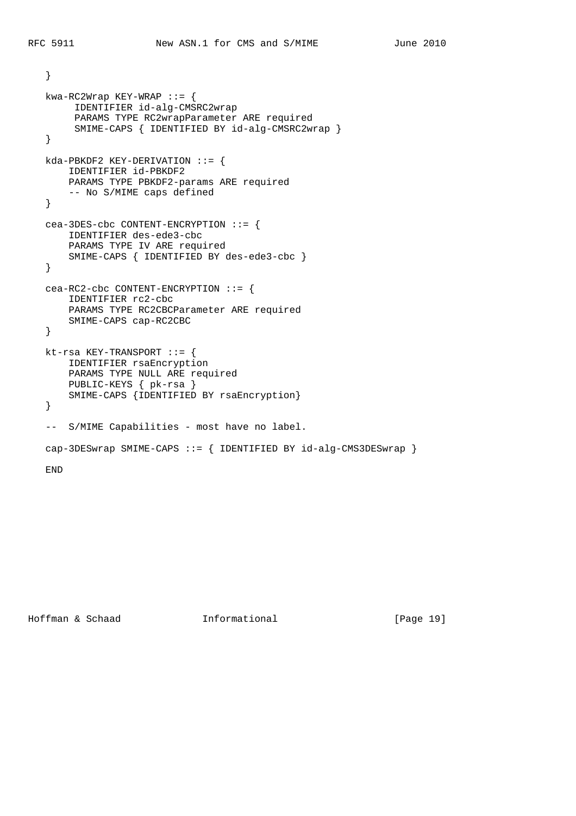```
 }
 kwa-RC2Wrap KEY-WRAP ::= {
     IDENTIFIER id-alg-CMSRC2wrap
     PARAMS TYPE RC2wrapParameter ARE required
     SMIME-CAPS { IDENTIFIED BY id-alg-CMSRC2wrap }
 }
 kda-PBKDF2 KEY-DERIVATION ::= {
    IDENTIFIER id-PBKDF2
    PARAMS TYPE PBKDF2-params ARE required
    -- No S/MIME caps defined
 }
 cea-3DES-cbc CONTENT-ENCRYPTION ::= {
    IDENTIFIER des-ede3-cbc
     PARAMS TYPE IV ARE required
    SMIME-CAPS { IDENTIFIED BY des-ede3-cbc }
 }
 cea-RC2-cbc CONTENT-ENCRYPTION ::= {
     IDENTIFIER rc2-cbc
     PARAMS TYPE RC2CBCParameter ARE required
    SMIME-CAPS cap-RC2CBC
 }
 kt-rsa KEY-TRANSPORT ::= {
    IDENTIFIER rsaEncryption
     PARAMS TYPE NULL ARE required
    PUBLIC-KEYS { pk-rsa }
    SMIME-CAPS {IDENTIFIED BY rsaEncryption}
 }
-- S/MIME Capabilities - most have no label.
 cap-3DESwrap SMIME-CAPS ::= { IDENTIFIED BY id-alg-CMS3DESwrap }
 END
```
Hoffman & Schaad Informational [Page 19]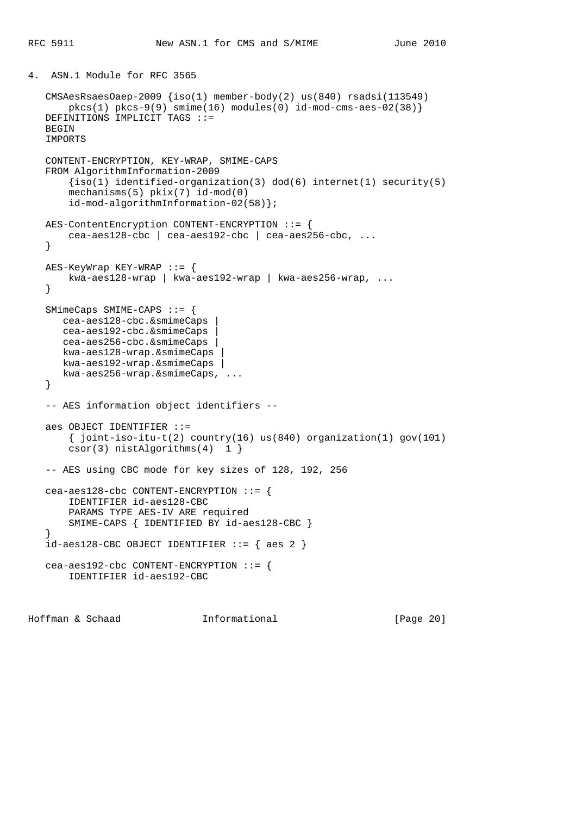```
4. ASN.1 Module for RFC 3565
   CMSAesRsaesOaep-2009 {iso(1) member-body(2) us(840) rsadsi(113549)
      pkcs(1) pkcs-9(9) simte(16) modules(0) id-mod-cms-aes-02(38) DEFINITIONS IMPLICIT TAGS ::=
  BEGIN
   IMPORTS
   CONTENT-ENCRYPTION, KEY-WRAP, SMIME-CAPS
   FROM AlgorithmInformation-2009
       \{iso(1) identified-organization(3) dod(6) internet(1) security(5)
        mechanisms(5) pkix(7) id-mod(0)
        id-mod-algorithmInformation-02(58)};
   AES-ContentEncryption CONTENT-ENCRYPTION ::= {
       cea-aes128-cbc | cea-aes192-cbc | cea-aes256-cbc, ...
    }
   AES-KeyWrap KEY-WRAP ::= {
       kwa-aes128-wrap | kwa-aes192-wrap | kwa-aes256-wrap, ...
    }
   SMimeCaps SMIME-CAPS ::= {
      cea-aes128-cbc.&smimeCaps |
       cea-aes192-cbc.&smimeCaps |
       cea-aes256-cbc.&smimeCaps |
      kwa-aes128-wrap.&smimeCaps |
      kwa-aes192-wrap.&smimeCaps |
      kwa-aes256-wrap.&smimeCaps, ...
    }
   -- AES information object identifiers --
   aes OBJECT IDENTIFIER ::=
       \{ joint-iso-itu-t(2) country(16) us(840) organization(1) gov(101)
        csor(3) nistAlgorithms(4) 1 }
    -- AES using CBC mode for key sizes of 128, 192, 256
   cea-aes128-cbc CONTENT-ENCRYPTION ::= {
        IDENTIFIER id-aes128-CBC
        PARAMS TYPE AES-IV ARE required
       SMIME-CAPS { IDENTIFIED BY id-aes128-CBC }
    }
  id-aes128-CBC OBJECT IDENTIFYER ::= { aes 2 } cea-aes192-cbc CONTENT-ENCRYPTION ::= {
        IDENTIFIER id-aes192-CBC
```
Hoffman & Schaad Informational [Page 20]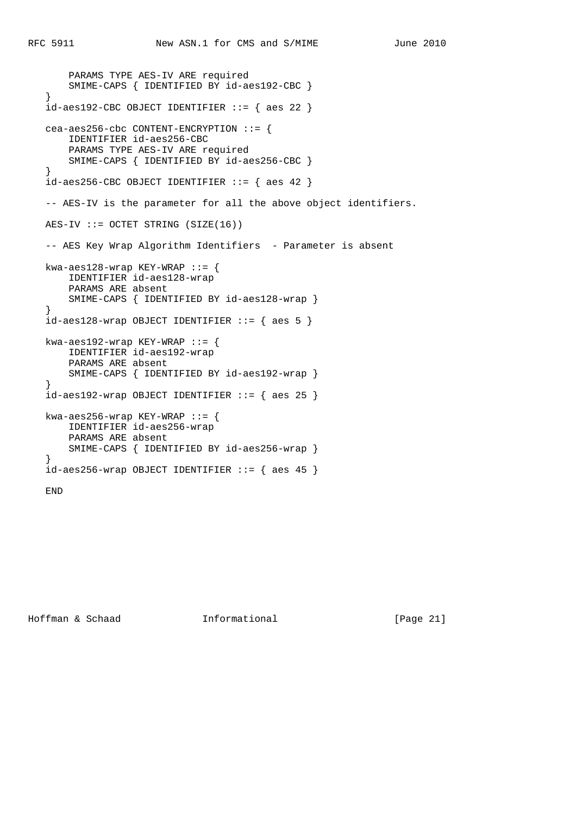```
 PARAMS TYPE AES-IV ARE required
       SMIME-CAPS { IDENTIFIED BY id-aes192-CBC }
    }
  id-aes192-CBC OBJECT IDENTIFYER ::= { aes 22 } cea-aes256-cbc CONTENT-ENCRYPTION ::= {
       IDENTIFIER id-aes256-CBC
       PARAMS TYPE AES-IV ARE required
       SMIME-CAPS { IDENTIFIED BY id-aes256-CBC }
    }
  id-aes256-CBC OBJECT IDENTIFIER ::= \{ aes 42 \} -- AES-IV is the parameter for all the above object identifiers.
  AES-IV ::= OCTET STRING (SIZE(16))-- AES Key Wrap Algorithm Identifiers - Parameter is absent
   kwa-aes128-wrap KEY-WRAP ::= {
       IDENTIFIER id-aes128-wrap
       PARAMS ARE absent
       SMIME-CAPS { IDENTIFIED BY id-aes128-wrap }
 }
  id-aes128-wrap OBJECT IDENTIFIER ::= { aes 5 }
  kwa-aes192-wrap KEY-WRAP ::= {
       IDENTIFIER id-aes192-wrap
       PARAMS ARE absent
       SMIME-CAPS { IDENTIFIED BY id-aes192-wrap }
    }
  id-aes192-wrap OBJECT IDENTIFIER ::= { aes 25 }
   kwa-aes256-wrap KEY-WRAP ::= {
       IDENTIFIER id-aes256-wrap
       PARAMS ARE absent
       SMIME-CAPS { IDENTIFIED BY id-aes256-wrap }
    }
  id-aes256-wrap OBJECT IDENTIFIER ::= { aes 45 }
   END
```
Hoffman & Schaad Informational [Page 21]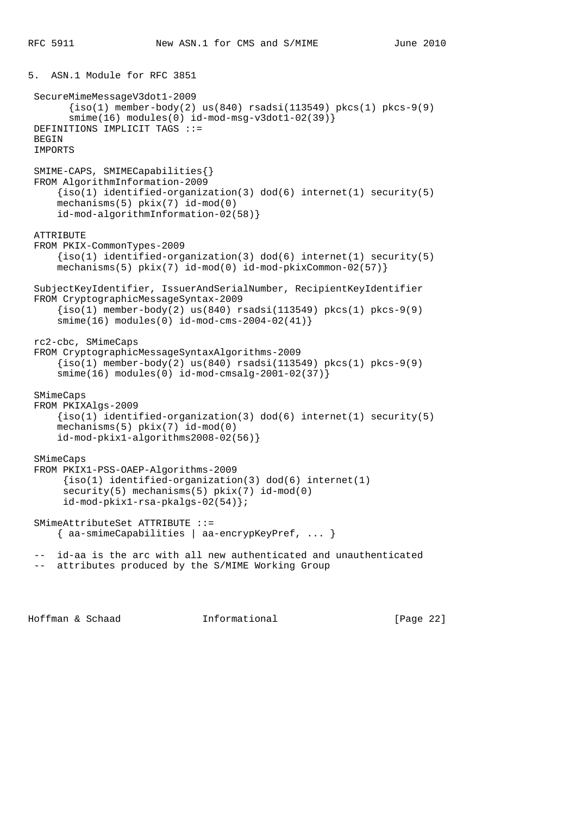```
5. ASN.1 Module for RFC 3851
 SecureMimeMessageV3dot1-2009
       \{\text{iso}(1) \text{ member-body}(2) \text{ us}(840) \text{ rsadsi}(113549) \text{ pkcs}(1) \text{ pkcs-9}(9) smime(16) modules(0) id-mod-msg-v3dot1-02(39)}
 DEFINITIONS IMPLICIT TAGS ::=
BEGIN
 IMPORTS
 SMIME-CAPS, SMIMECapabilities{}
 FROM AlgorithmInformation-2009
     \{iso(1) identified-organization(3) dod(6) internet(1) security(5)
      mechanisms(5) pkix(7) id-mod(0)
      id-mod-algorithmInformation-02(58)}
 ATTRIBUTE
 FROM PKIX-CommonTypes-2009
      {iso(1) identified-organization(3) dod(6) internet(1) security(5)
      mechanisms(5) pkix(7) id-mod(0) id-mod-pkixCommon-02(57)}
 SubjectKeyIdentifier, IssuerAndSerialNumber, RecipientKeyIdentifier
 FROM CryptographicMessageSyntax-2009
     \{iso(1) member-body(2) us(840) rsadsi(113549) pkcs(1) pkcs-9(9)
      smime(16) modules(0) id-mod-cms-2004-02(41)}
 rc2-cbc, SMimeCaps
 FROM CryptographicMessageSyntaxAlgorithms-2009
     \{iso(1) member-body(2) us(840) rsadsi(113549) pkcs(1) pkcs-9(9)
      smime(16) modules(0) id-mod-cmsalg-2001-02(37)}
 SMimeCaps
 FROM PKIXAlgs-2009
      {iso(1) identified-organization(3) dod(6) internet(1) security(5)
      mechanisms(5) pkix(7) id-mod(0)
      id-mod-pkix1-algorithms2008-02(56)}
 SMimeCaps
 FROM PKIX1-PSS-OAEP-Algorithms-2009
       {iso(1) identified-organization(3) dod(6) internet(1)
      security(5) mechanisms(5) pkix(7) id-mod(0)
       id-mod-pkix1-rsa-pkalgs-02(54)};
 SMimeAttributeSet ATTRIBUTE ::=
      { aa-smimeCapabilities | aa-encrypKeyPref, ... }
  -- id-aa is the arc with all new authenticated and unauthenticated
  -- attributes produced by the S/MIME Working Group
```
Hoffman & Schaad Informational [Page 22]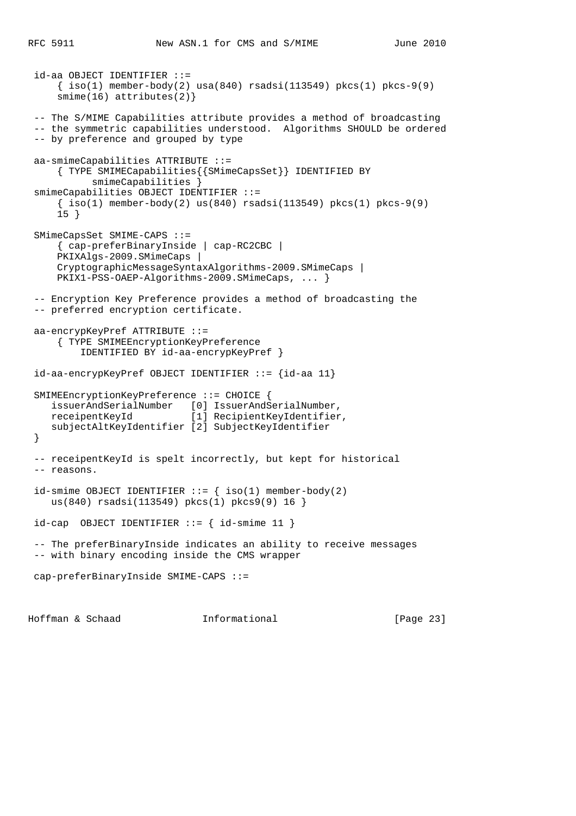```
 id-aa OBJECT IDENTIFIER ::=
    \{\text{iso}(1) \text{ member-body}(2) \text{ usa}(840) \text{ rsadsi}(113549) \text{ pkcs}(1) \text{ pkcs-9}(9)smin(e(16) attributes(2)}
 -- The S/MIME Capabilities attribute provides a method of broadcasting
 -- the symmetric capabilities understood. Algorithms SHOULD be ordered
 -- by preference and grouped by type
 aa-smimeCapabilities ATTRIBUTE ::=
     { TYPE SMIMECapabilities{{SMimeCapsSet}} IDENTIFIED BY
          smimeCapabilities }
 smimeCapabilities OBJECT IDENTIFIER ::=
    \{ iso(1) member-body(2) us(840) rsadsi(113549) pkcs(1) pkcs-9(9) 15 }
 SMimeCapsSet SMIME-CAPS ::=
     { cap-preferBinaryInside | cap-RC2CBC |
     PKIXAlgs-2009.SMimeCaps |
     CryptographicMessageSyntaxAlgorithms-2009.SMimeCaps |
     PKIX1-PSS-OAEP-Algorithms-2009.SMimeCaps, ... }
 -- Encryption Key Preference provides a method of broadcasting the
 -- preferred encryption certificate.
 aa-encrypKeyPref ATTRIBUTE ::=
     { TYPE SMIMEEncryptionKeyPreference
         IDENTIFIED BY id-aa-encrypKeyPref }
 id-aa-encrypKeyPref OBJECT IDENTIFIER ::= {id-aa 11}
 SMIMEEncryptionKeyPreference ::= CHOICE {
    issuerAndSerialNumber [0] IssuerAndSerialNumber,
    receipentKeyId [1] RecipientKeyIdentifier,
    subjectAltKeyIdentifier [2] SubjectKeyIdentifier
 }
 -- receipentKeyId is spelt incorrectly, but kept for historical
 -- reasons.
id-smime OBJECT IDENTIFIER ::= { iso(1) member-body(2)
    us(840) rsadsi(113549) pkcs(1) pkcs9(9) 16 }
id-cap OBJECT IDENTIFIER ::= { id-smime 11 }
 -- The preferBinaryInside indicates an ability to receive messages
 -- with binary encoding inside the CMS wrapper
 cap-preferBinaryInside SMIME-CAPS ::=
```
Hoffman & Schaad Informational [Page 23]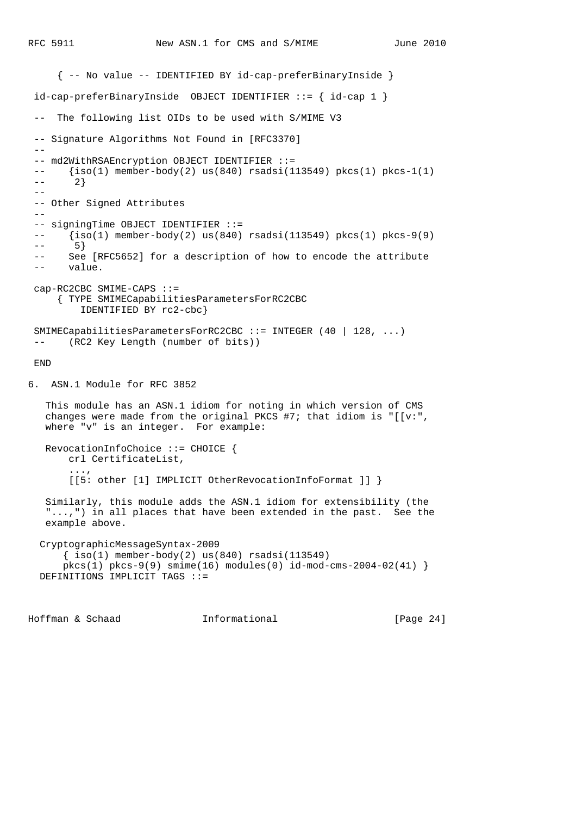```
 { -- No value -- IDENTIFIED BY id-cap-preferBinaryInside }
 id-cap-preferBinaryInside OBJECT IDENTIFIER ::= { id-cap 1 }
  -- The following list OIDs to be used with S/MIME V3
 -- Signature Algorithms Not Found in [RFC3370]
 - -- md2WithRSAEncryption OBJECT IDENTIFIER ::=
 -- \{iso(1) member-body(2) us(840) rsadsi(113549) pkcs(1) pkcs-1(1)
 --- 2}- -- Other Signed Attributes
 - -- signingTime OBJECT IDENTIFIER ::=
 -- {iso(1) member-body(2) us(840) rsadsi(113549) pkcs(1) pkcs-9(9)
 -- 5}
  -- See [RFC5652] for a description of how to encode the attribute
  -- value.
 cap-RC2CBC SMIME-CAPS ::=
      { TYPE SMIMECapabilitiesParametersForRC2CBC
         IDENTIFIED BY rc2-cbc}
 SMIMECapabilitiesParametersForRC2CBC ::= INTEGER (40 | 128, ...)
      (RC2 Key Length (number of bits))
 END
6. ASN.1 Module for RFC 3852
   This module has an ASN.1 idiom for noting in which version of CMS
  changes were made from the original PKCS #7; that idiom is "[ [v:",
   where "v" is an integer. For example:
   RevocationInfoChoice ::= CHOICE {
       crl CertificateList,
        ...,
       [[5: other [1] IMPLICIT OtherRevocationInfoFormat ]] }
   Similarly, this module adds the ASN.1 idiom for extensibility (the
   "...,") in all places that have been extended in the past. See the
   example above.
  CryptographicMessageSyntax-2009
      \{ iso(1) member-body(2) us(840) rsadsi(113549)pkcs(1) pkcs-9(9) smine(16) modmes(0) id-mod-cms-2004-02(41) }
  DEFINITIONS IMPLICIT TAGS ::=
```
Hoffman & Schaad Informational [Page 24]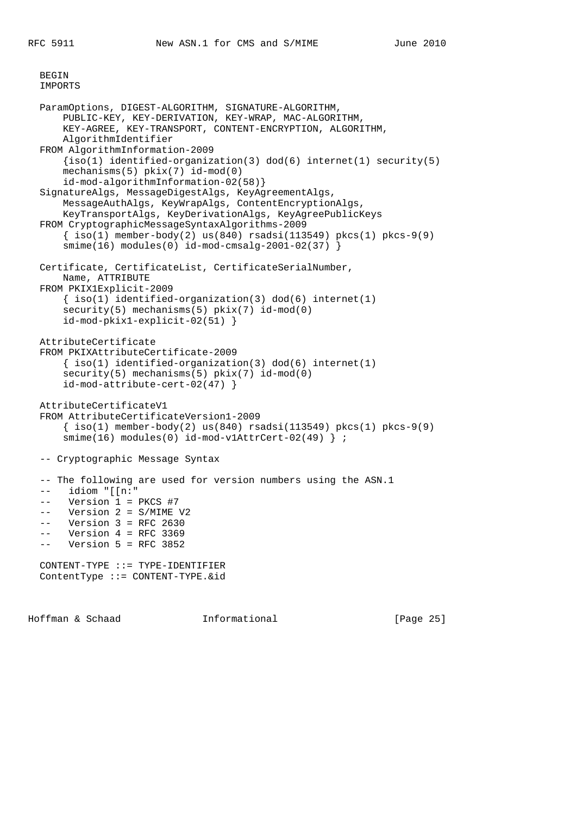BEGIN

```
 IMPORTS
 ParamOptions, DIGEST-ALGORITHM, SIGNATURE-ALGORITHM,
     PUBLIC-KEY, KEY-DERIVATION, KEY-WRAP, MAC-ALGORITHM,
     KEY-AGREE, KEY-TRANSPORT, CONTENT-ENCRYPTION, ALGORITHM,
     AlgorithmIdentifier
 FROM AlgorithmInformation-2009
    \{iso(1) identified-organization(3) dod(6) internet(1) security(5)
     mechanisms(5) pkix(7) id-mod(0)
     id-mod-algorithmInformation-02(58)}
 SignatureAlgs, MessageDigestAlgs, KeyAgreementAlgs,
     MessageAuthAlgs, KeyWrapAlgs, ContentEncryptionAlgs,
     KeyTransportAlgs, KeyDerivationAlgs, KeyAgreePublicKeys
 FROM CryptographicMessageSyntaxAlgorithms-2009
     { iso(1) member-body(2) us(840) rsadsi(113549) pkcs(1) pkcs-9(9)
     smime(16) modules(0) id-mod-cmsalg-2001-02(37) }
 Certificate, CertificateList, CertificateSerialNumber,
     Name, ATTRIBUTE
 FROM PKIX1Explicit-2009
     { iso(1) identified-organization(3) dod(6) internet(1)
    security(5) mechanisms(5) pkix(7) id-mod(0)
     id-mod-pkix1-explicit-02(51) }
 AttributeCertificate
 FROM PKIXAttributeCertificate-2009
    \{ iso(1) <i>identified-organization(3) <math> dod(6) <i>internet(1)</i>security(5) mechanisms(5) pkix(7) id-mod(0)
     id-mod-attribute-cert-02(47) }
 AttributeCertificateV1
 FROM AttributeCertificateVersion1-2009
    \{\text{iso}(1) \text{ member-body}(2) \text{ us}(840) \text{ rsadsi}(113549) \text{ pkcs}(1) \text{ pkcs-9}(9)smime(16) modules(0) id-mod-v1AttrCert-02(49) } ;
 -- Cryptographic Message Syntax
 -- The following are used for version numbers using the ASN.1
 -- idiom "[[n:"
 -- Version 1 = PKCS #7
 -- Version 2 = S/MIME V2
 -- Version 3 = RFC 2630
 -- Version 4 = RFC 3369
 -- Version 5 = RFC 3852
 CONTENT-TYPE ::= TYPE-IDENTIFIER
 ContentType ::= CONTENT-TYPE.&id
```
Hoffman & Schaad Informational [Page 25]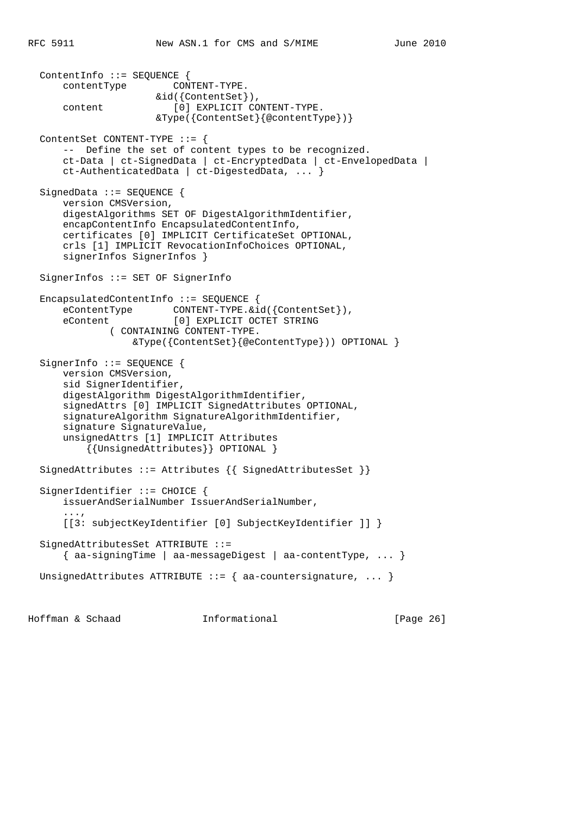```
 ContentInfo ::= SEQUENCE {
      contentType CONTENT-TYPE.
                      &id({ContentSet}),
     content [0] EXPLICIT CONTENT-TYPE.
                       &Type({ContentSet}{@contentType})}
  ContentSet CONTENT-TYPE ::= {
      -- Define the set of content types to be recognized.
      ct-Data | ct-SignedData | ct-EncryptedData | ct-EnvelopedData |
      ct-AuthenticatedData | ct-DigestedData, ... }
  SignedData ::= SEQUENCE {
      version CMSVersion,
      digestAlgorithms SET OF DigestAlgorithmIdentifier,
      encapContentInfo EncapsulatedContentInfo,
      certificates [0] IMPLICIT CertificateSet OPTIONAL,
      crls [1] IMPLICIT RevocationInfoChoices OPTIONAL,
      signerInfos SignerInfos }
  SignerInfos ::= SET OF SignerInfo
  EncapsulatedContentInfo ::= SEQUENCE {
     eContentType CONTENT-TYPE.&id({ContentSet}),
      eContent [0] EXPLICIT OCTET STRING
              ( CONTAINING CONTENT-TYPE.
                  &Type({ContentSet}{@eContentType})) OPTIONAL }
 SignerInfo ::= SEQUENCE {
      version CMSVersion,
      sid SignerIdentifier,
      digestAlgorithm DigestAlgorithmIdentifier,
      signedAttrs [0] IMPLICIT SignedAttributes OPTIONAL,
      signatureAlgorithm SignatureAlgorithmIdentifier,
      signature SignatureValue,
      unsignedAttrs [1] IMPLICIT Attributes
          {{UnsignedAttributes}} OPTIONAL }
 SignedAttributes ::= Attributes {{ SignedAttributesSet }}
 SignerIdentifier ::= CHOICE {
      issuerAndSerialNumber IssuerAndSerialNumber,
 ...,
      [[3: subjectKeyIdentifier [0] SubjectKeyIdentifier ]] }
  SignedAttributesSet ATTRIBUTE ::=
      { aa-signingTime | aa-messageDigest | aa-contentType, ... }
 UnsignedAttributes ATTRIBUTE ::= { aa-countersignature, ... }
```
Hoffman & Schaad Informational [Page 26]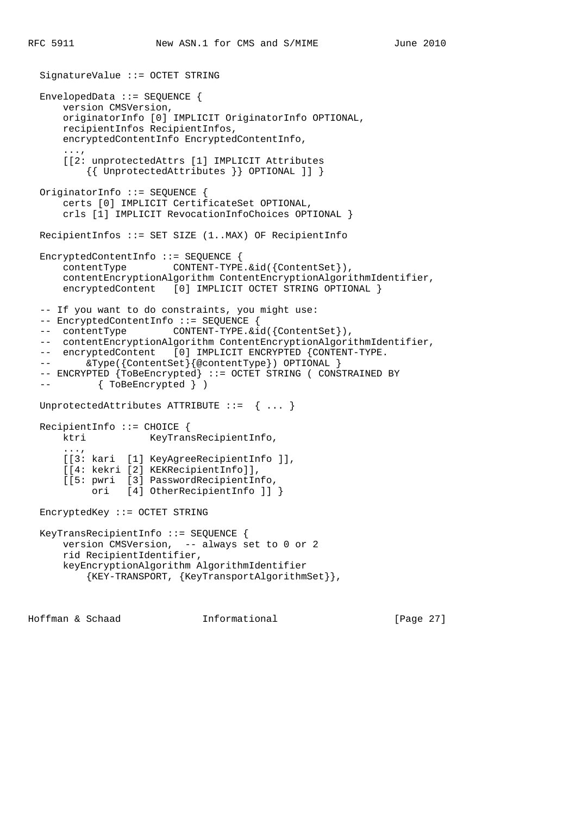```
 SignatureValue ::= OCTET STRING
  EnvelopedData ::= SEQUENCE {
      version CMSVersion,
      originatorInfo [0] IMPLICIT OriginatorInfo OPTIONAL,
      recipientInfos RecipientInfos,
      encryptedContentInfo EncryptedContentInfo,
 ...,
      [[2: unprotectedAttrs [1] IMPLICIT Attributes
          {{ UnprotectedAttributes }} OPTIONAL ]] }
  OriginatorInfo ::= SEQUENCE {
      certs [0] IMPLICIT CertificateSet OPTIONAL,
      crls [1] IMPLICIT RevocationInfoChoices OPTIONAL }
  RecipientInfos ::= SET SIZE (1..MAX) OF RecipientInfo
  EncryptedContentInfo ::= SEQUENCE {
      contentType CONTENT-TYPE.&id({ContentSet}),
      contentEncryptionAlgorithm ContentEncryptionAlgorithmIdentifier,
     encryptedContent [0] IMPLICIT OCTET STRING OPTIONAL }
  -- If you want to do constraints, you might use:
  -- EncryptedContentInfo ::= SEQUENCE {
 -- contentType CONTENT-TYPE. &id({ContentSet}),
  -- contentEncryptionAlgorithm ContentEncryptionAlgorithmIdentifier,
 -- encryptedContent [0] IMPLICIT ENCRYPTED {CONTENT-TYPE.
 -- \& Type({ContentSet}{@contentType}) OPTIONAL }
  -- ENCRYPTED {ToBeEncrypted} ::= OCTET STRING ( CONSTRAINED BY
  -- { ToBeEncrypted } )
  UnprotectedAttributes ATTRIBUTE ::= { ... }
  RecipientInfo ::= CHOICE {
     ktri KeyTransRecipientInfo,
 ...,
      [[3: kari [1] KeyAgreeRecipientInfo ]],
      [[4: kekri [2] KEKRecipientInfo]],
      [[5: pwri [3] PasswordRecipientInfo,
           ori [4] OtherRecipientInfo ]] }
  EncryptedKey ::= OCTET STRING
  KeyTransRecipientInfo ::= SEQUENCE {
      version CMSVersion, -- always set to 0 or 2
      rid RecipientIdentifier,
      keyEncryptionAlgorithm AlgorithmIdentifier
          {KEY-TRANSPORT, {KeyTransportAlgorithmSet}},
```
Hoffman & Schaad Informational [Page 27]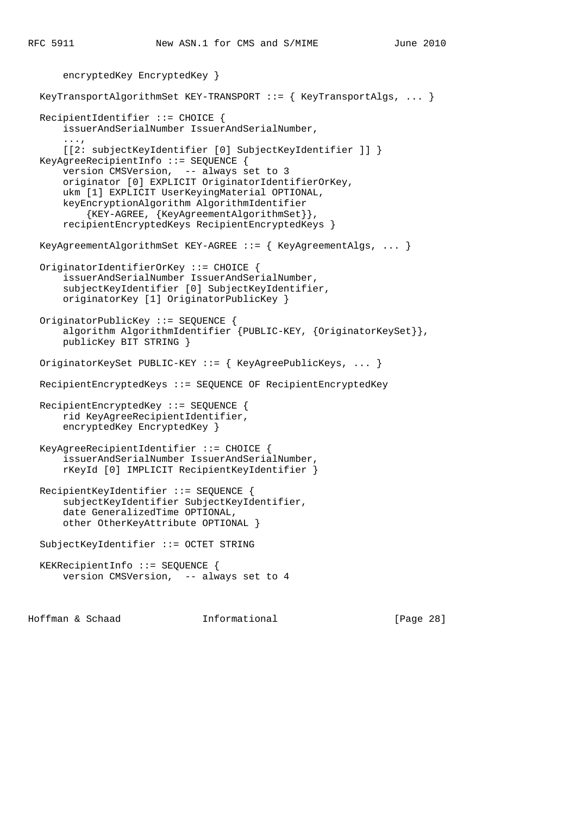```
 encryptedKey EncryptedKey }
 KeyTransportAlgorithmSet KEY-TRANSPORT ::= { KeyTransportAlgs, ... }
  RecipientIdentifier ::= CHOICE {
      issuerAndSerialNumber IssuerAndSerialNumber,
 ...,
      [[2: subjectKeyIdentifier [0] SubjectKeyIdentifier ]] }
  KeyAgreeRecipientInfo ::= SEQUENCE {
      version CMSVersion, -- always set to 3
      originator [0] EXPLICIT OriginatorIdentifierOrKey,
      ukm [1] EXPLICIT UserKeyingMaterial OPTIONAL,
      keyEncryptionAlgorithm AlgorithmIdentifier
           {KEY-AGREE, {KeyAgreementAlgorithmSet}},
      recipientEncryptedKeys RecipientEncryptedKeys }
  KeyAgreementAlgorithmSet KEY-AGREE ::= { KeyAgreementAlgs, ... }
  OriginatorIdentifierOrKey ::= CHOICE {
       issuerAndSerialNumber IssuerAndSerialNumber,
       subjectKeyIdentifier [0] SubjectKeyIdentifier,
      originatorKey [1] OriginatorPublicKey }
  OriginatorPublicKey ::= SEQUENCE {
      algorithm AlgorithmIdentifier {PUBLIC-KEY, {OriginatorKeySet}},
      publicKey BIT STRING }
  OriginatorKeySet PUBLIC-KEY ::= { KeyAgreePublicKeys, ... }
  RecipientEncryptedKeys ::= SEQUENCE OF RecipientEncryptedKey
  RecipientEncryptedKey ::= SEQUENCE {
      rid KeyAgreeRecipientIdentifier,
      encryptedKey EncryptedKey }
  KeyAgreeRecipientIdentifier ::= CHOICE {
      issuerAndSerialNumber IssuerAndSerialNumber,
      rKeyId [0] IMPLICIT RecipientKeyIdentifier }
  RecipientKeyIdentifier ::= SEQUENCE {
      subjectKeyIdentifier SubjectKeyIdentifier,
      date GeneralizedTime OPTIONAL,
      other OtherKeyAttribute OPTIONAL }
  SubjectKeyIdentifier ::= OCTET STRING
  KEKRecipientInfo ::= SEQUENCE {
      version CMSVersion, -- always set to 4
```
Hoffman & Schaad Informational [Page 28]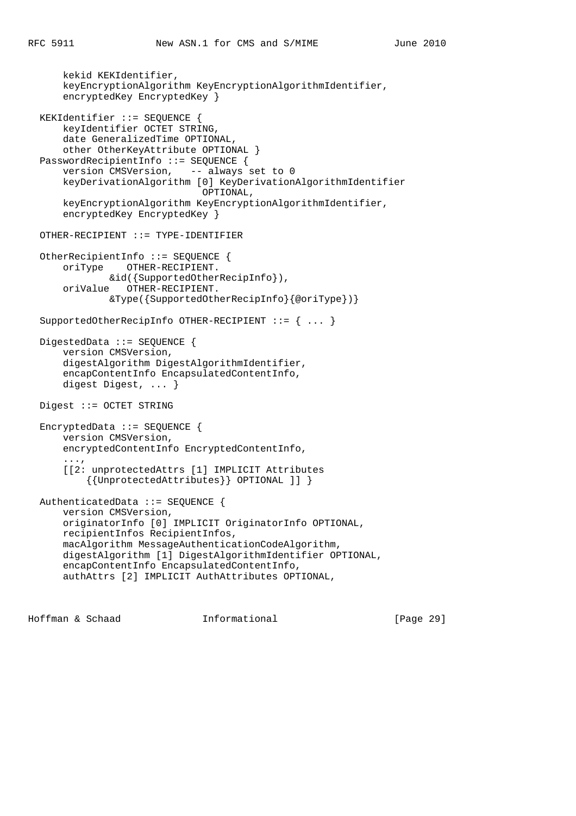```
 kekid KEKIdentifier,
      keyEncryptionAlgorithm KeyEncryptionAlgorithmIdentifier,
       encryptedKey EncryptedKey }
  KEKIdentifier ::= SEQUENCE {
      keyIdentifier OCTET STRING,
      date GeneralizedTime OPTIONAL,
      other OtherKeyAttribute OPTIONAL }
  PasswordRecipientInfo ::= SEQUENCE {
      version CMSVersion, -- always set to 0
      keyDerivationAlgorithm [0] KeyDerivationAlgorithmIdentifier
                               OPTIONAL,
      keyEncryptionAlgorithm KeyEncryptionAlgorithmIdentifier,
      encryptedKey EncryptedKey }
  OTHER-RECIPIENT ::= TYPE-IDENTIFIER
  OtherRecipientInfo ::= SEQUENCE {
      oriType OTHER-RECIPIENT.
              &id({SupportedOtherRecipInfo}),
       oriValue OTHER-RECIPIENT.
               &Type({SupportedOtherRecipInfo}{@oriType})}
  SupportedOtherRecipInfo OTHER-RECIPIENT ::= { ... }
 DigestedData ::= SEQUENCE {
      version CMSVersion,
      digestAlgorithm DigestAlgorithmIdentifier,
      encapContentInfo EncapsulatedContentInfo,
      digest Digest, ... }
  Digest ::= OCTET STRING
  EncryptedData ::= SEQUENCE {
      version CMSVersion,
      encryptedContentInfo EncryptedContentInfo,
 ...,
       [[2: unprotectedAttrs [1] IMPLICIT Attributes
           {{UnprotectedAttributes}} OPTIONAL ]] }
  AuthenticatedData ::= SEQUENCE {
      version CMSVersion,
      originatorInfo [0] IMPLICIT OriginatorInfo OPTIONAL,
      recipientInfos RecipientInfos,
      macAlgorithm MessageAuthenticationCodeAlgorithm,
      digestAlgorithm [1] DigestAlgorithmIdentifier OPTIONAL,
      encapContentInfo EncapsulatedContentInfo,
      authAttrs [2] IMPLICIT AuthAttributes OPTIONAL,
```
Hoffman & Schaad Informational [Page 29]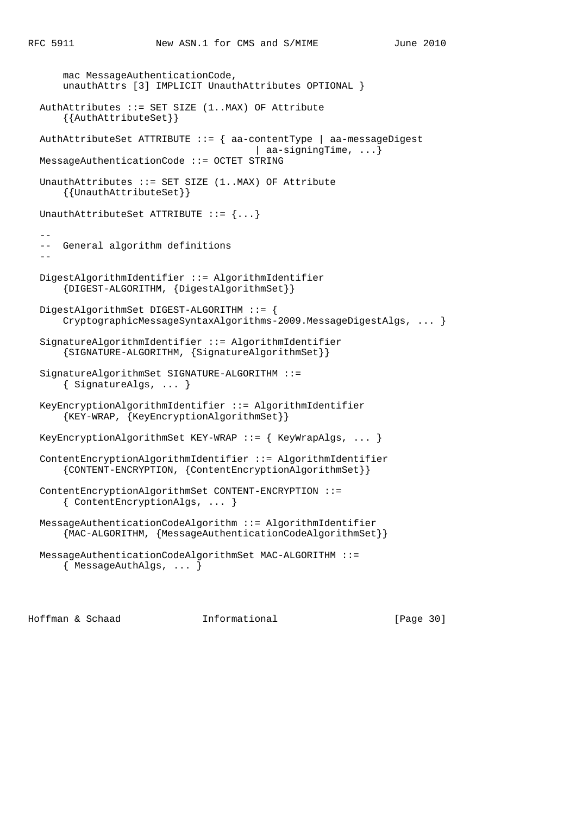```
 mac MessageAuthenticationCode,
      unauthAttrs [3] IMPLICIT UnauthAttributes OPTIONAL }
  AuthAttributes ::= SET SIZE (1..MAX) OF Attribute
       {{AuthAttributeSet}}
  AuthAttributeSet ATTRIBUTE ::= { aa-contentType | aa-messageDigest
                                         | aa-signingTime, ...}
  MessageAuthenticationCode ::= OCTET STRING
 UnauthAttributes ::= SET SIZE (1..MAX) OF Attribute
       {{UnauthAttributeSet}}
 UnauthAttributeSet ATTRIBUTE ::= \{... \}- -- General algorithm definitions
- DigestAlgorithmIdentifier ::= AlgorithmIdentifier
       {DIGEST-ALGORITHM, {DigestAlgorithmSet}}
  DigestAlgorithmSet DIGEST-ALGORITHM ::= {
      CryptographicMessageSyntaxAlgorithms-2009.MessageDigestAlgs, ... }
  SignatureAlgorithmIdentifier ::= AlgorithmIdentifier
       {SIGNATURE-ALGORITHM, {SignatureAlgorithmSet}}
  SignatureAlgorithmSet SIGNATURE-ALGORITHM ::=
       { SignatureAlgs, ... }
  KeyEncryptionAlgorithmIdentifier ::= AlgorithmIdentifier
       {KEY-WRAP, {KeyEncryptionAlgorithmSet}}
  KeyEncryptionAlgorithmSet KEY-WRAP ::= { KeyWrapAlgs, ... }
  ContentEncryptionAlgorithmIdentifier ::= AlgorithmIdentifier
       {CONTENT-ENCRYPTION, {ContentEncryptionAlgorithmSet}}
  ContentEncryptionAlgorithmSet CONTENT-ENCRYPTION ::=
      { ContentEncryptionAlgs, ... }
  MessageAuthenticationCodeAlgorithm ::= AlgorithmIdentifier
      {MAC-ALGORITHM, {MessageAuthenticationCodeAlgorithmSet}}
  MessageAuthenticationCodeAlgorithmSet MAC-ALGORITHM ::=
       { MessageAuthAlgs, ... }
```
Hoffman & Schaad Informational [Page 30]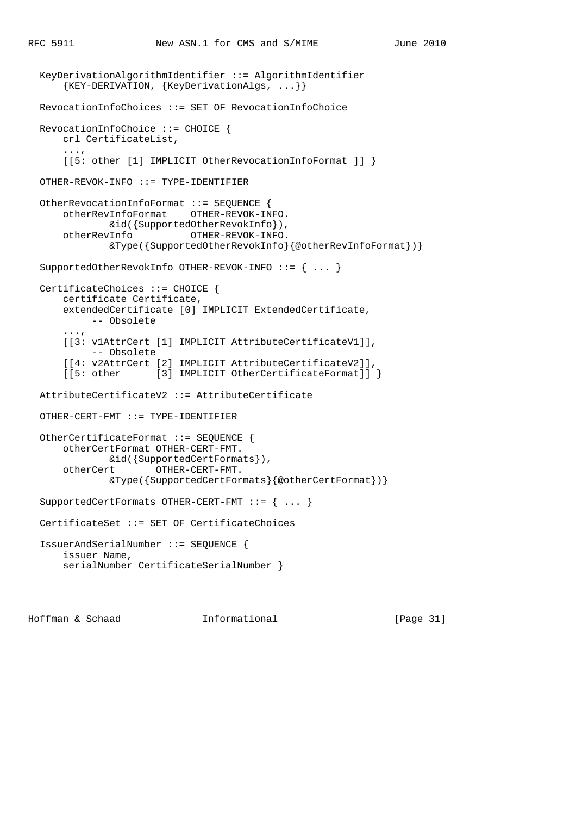```
 KeyDerivationAlgorithmIdentifier ::= AlgorithmIdentifier
       {KEY-DERIVATION, {KeyDerivationAlgs, ...}}
  RevocationInfoChoices ::= SET OF RevocationInfoChoice
  RevocationInfoChoice ::= CHOICE {
      crl CertificateList,
 ...,
       [[5: other [1] IMPLICIT OtherRevocationInfoFormat ]] }
  OTHER-REVOK-INFO ::= TYPE-IDENTIFIER
  OtherRevocationInfoFormat ::= SEQUENCE {
      otherRevInfoFormat OTHER-REVOK-INFO.
              &id({SupportedOtherRevokInfo}),
      otherRevInfo OTHER-REVOK-INFO.
              &Type({SupportedOtherRevokInfo}{@otherRevInfoFormat})}
  SupportedOtherRevokInfo OTHER-REVOK-INFO ::= { ... }
  CertificateChoices ::= CHOICE {
      certificate Certificate,
      extendedCertificate [0] IMPLICIT ExtendedCertificate,
            -- Obsolete
       ...,
       [[3: v1AttrCert [1] IMPLICIT AttributeCertificateV1]],
            -- Obsolete
       [[4: v2AttrCert [2] IMPLICIT AttributeCertificateV2]],
     [[5: other [3] IMPLICIT OtherCertificateFormat]] }
  AttributeCertificateV2 ::= AttributeCertificate
  OTHER-CERT-FMT ::= TYPE-IDENTIFIER
  OtherCertificateFormat ::= SEQUENCE {
      otherCertFormat OTHER-CERT-FMT.
              &id({SupportedCertFormats}),
       otherCert OTHER-CERT-FMT.
              &Type({SupportedCertFormats}{@otherCertFormat})}
  SupportedCertFormats OTHER-CERT-FMT ::= { ... }
  CertificateSet ::= SET OF CertificateChoices
  IssuerAndSerialNumber ::= SEQUENCE {
      issuer Name,
      serialNumber CertificateSerialNumber }
```
Hoffman & Schaad Informational [Page 31]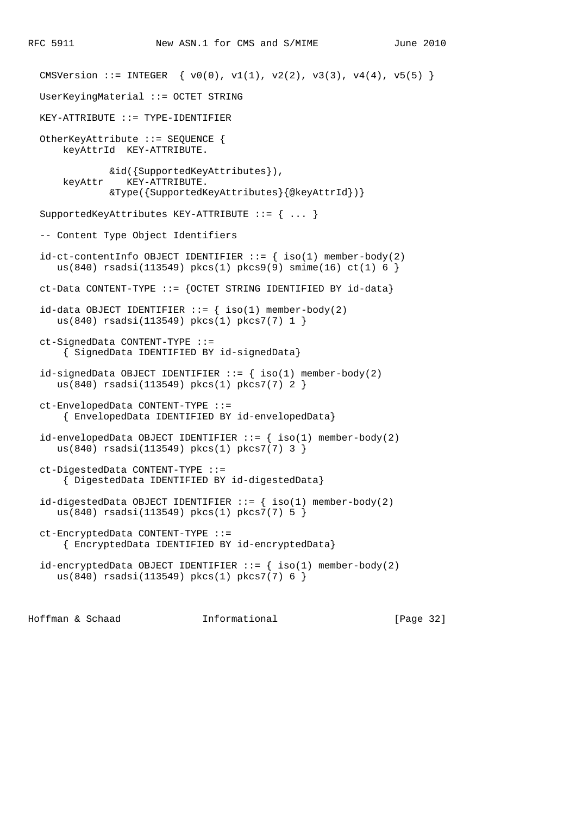```
CMSVersion ::= INTEGER \{ v0(0), v1(1), v2(2), v3(3), v4(4), v5(5) \} UserKeyingMaterial ::= OCTET STRING
KEY-ATTRIBUTE ::= TYPE-IDENTIFFIER OtherKeyAttribute ::= SEQUENCE {
     keyAttrId KEY-ATTRIBUTE.
            &id({SupportedKeyAttributes}),
     keyAttr KEY-ATTRIBUTE.
             &Type({SupportedKeyAttributes}{@keyAttrId})}
 SupportedKeyAttributes KEY-ATTRIBUTE ::= { ... }
 -- Content Type Object Identifiers
id-ct-contentInfo OBJECT IDENTIFFIER :: = { iso(1) member-body(2) }us(840) rsadsi(113549) pkcs(1) pkcs9(9) smime(16) ct(1) 6 }
 ct-Data CONTENT-TYPE ::= {OCTET STRING IDENTIFIED BY id-data}
id-data OBJECT IDENTIFIER := \{ iso(1) \text{ member-body}(2) us(840) rsadsi(113549) pkcs(1) pkcs7(7) 1 }
 ct-SignedData CONTENT-TYPE ::=
     { SignedData IDENTIFIED BY id-signedData}
id-signedData OBJECT IDENTIFYIER :: = \{ iso(1) member-body(2) us(840) rsadsi(113549) pkcs(1) pkcs7(7) 2 }
 ct-EnvelopedData CONTENT-TYPE ::=
     { EnvelopedData IDENTIFIED BY id-envelopedData}
id-envelopedData OBJECT IDENTIFIER ::= \{ iso(1) member-body(2)
    us(840) rsadsi(113549) pkcs(1) pkcs7(7) 3 }
 ct-DigestedData CONTENT-TYPE ::=
     { DigestedData IDENTIFIED BY id-digestedData}
id-digestedData OBJECT IDENTIFIER ::= { iso(1) member-body(2) } us(840) rsadsi(113549) pkcs(1) pkcs7(7) 5 }
 ct-EncryptedData CONTENT-TYPE ::=
     { EncryptedData IDENTIFIED BY id-encryptedData}
id-encryptedData OBJECT IDENTIFIER ::= { iso(1) member-body(2)
    us(840) rsadsi(113549) pkcs(1) pkcs7(7) 6 }
```
Hoffman & Schaad Informational [Page 32]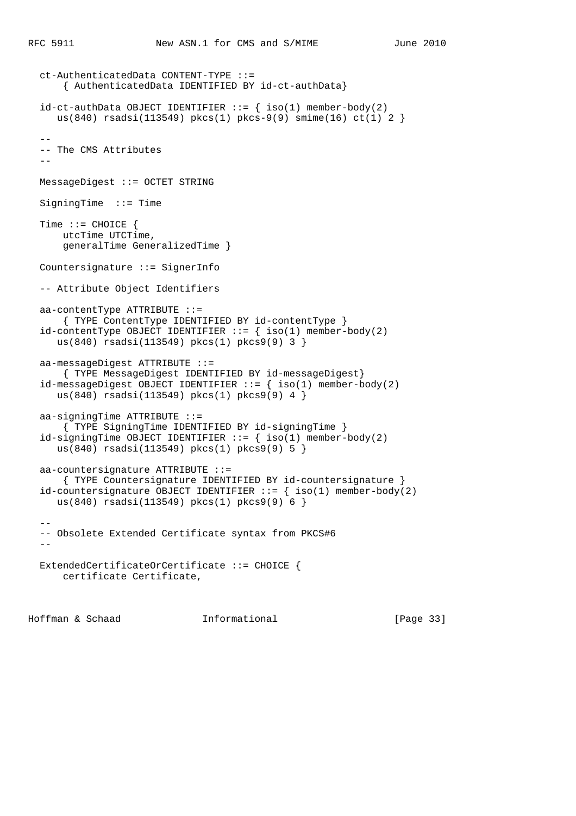```
 ct-AuthenticatedData CONTENT-TYPE ::=
       { AuthenticatedData IDENTIFIED BY id-ct-authData}
 id-ct-authData OBJECT IDENTIFIER ::= { iso(1) member-body(2) }us(840) rsadsi(113549) pkcs(1) pkcs-9(9) smime(16) ct(1) 2 }
- -- The CMS Attributes
- MessageDigest ::= OCTET STRING
  SigningTime ::= Time
  Time ::= CHOICE {
      utcTime UTCTime,
      generalTime GeneralizedTime }
  Countersignature ::= SignerInfo
  -- Attribute Object Identifiers
  aa-contentType ATTRIBUTE ::=
       { TYPE ContentType IDENTIFIED BY id-contentType }
 id-contentType OBJECT IDENTIFIER ::= \{ \text{ iso}(1) \text{ member-body}(2) us(840) rsadsi(113549) pkcs(1) pkcs9(9) 3 }
  aa-messageDigest ATTRIBUTE ::=
      { TYPE MessageDigest IDENTIFIED BY id-messageDigest}
 id-messageDigest OBJECT IDENTIFIER ::= \{ \text{iso}(1) \text{ member-body}(2) us(840) rsadsi(113549) pkcs(1) pkcs9(9) 4 }
  aa-signingTime ATTRIBUTE ::=
      { TYPE SigningTime IDENTIFIED BY id-signingTime }
 id-signingTime OBJECT IDENTIFIER ::= \{ iso(1) member-body(2)
     us(840) rsadsi(113549) pkcs(1) pkcs9(9) 5 }
  aa-countersignature ATTRIBUTE ::=
      { TYPE Countersignature IDENTIFIED BY id-countersignature }
  id-countersignature OBJECT IDENTIFIER ::= { iso(1) member-body(2)
     us(840) rsadsi(113549) pkcs(1) pkcs9(9) 6 }
- -- Obsolete Extended Certificate syntax from PKCS#6
  - ExtendedCertificateOrCertificate ::= CHOICE {
      certificate Certificate,
```
Hoffman & Schaad Informational [Page 33]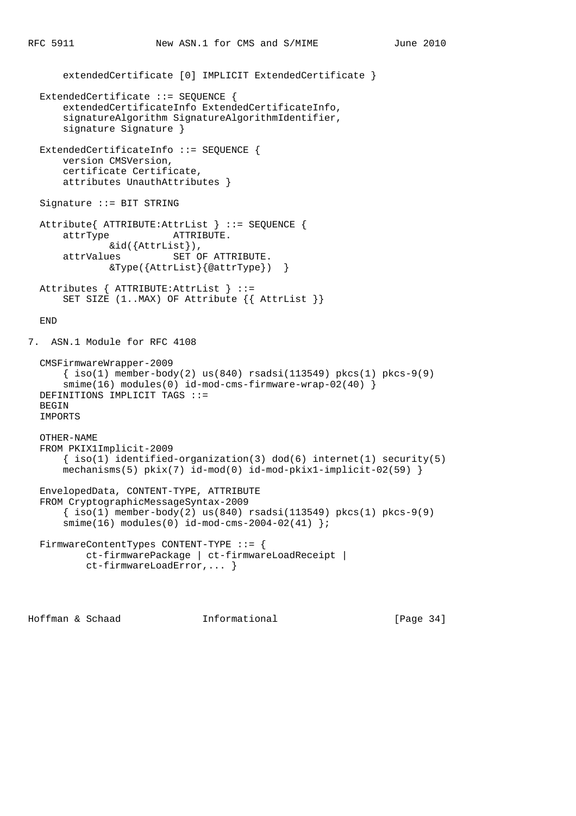```
 extendedCertificate [0] IMPLICIT ExtendedCertificate }
   ExtendedCertificate ::= SEQUENCE {
       extendedCertificateInfo ExtendedCertificateInfo,
       signatureAlgorithm SignatureAlgorithmIdentifier,
       signature Signature }
  ExtendedCertificateInfo ::= SEQUENCE {
       version CMSVersion,
       certificate Certificate,
       attributes UnauthAttributes }
   Signature ::= BIT STRING
   Attribute{ ATTRIBUTE:AttrList } ::= SEQUENCE {
       attrType ATTRIBUTE.
      \verb|sid({\small \texttt{Attribute}}) \text{,} \\ \verb|attrValues \texttt{SET 0}| \\SET OF ATTRIBUTE.
                &Type({AttrList}{@attrType}) }
   Attributes { ATTRIBUTE:AttrList } ::=
      SET SIZE (1..MAX) OF Attribute \{ AttrList \} END
7. ASN.1 Module for RFC 4108
   CMSFirmwareWrapper-2009
      \{\text{iso}(1) \text{ member-body}(2) \text{ us}(840) \text{ rsadsi}(113549) \text{ pkcs}(1) \text{ pkcs-9}(9) smime(16) modules(0) id-mod-cms-firmware-wrap-02(40) }
   DEFINITIONS IMPLICIT TAGS ::=
  BEGIN
   IMPORTS
   OTHER-NAME
   FROM PKIX1Implicit-2009
       \{ iso(1) <i>identified-organization(3) <math> dod(6) <i>internet(1) security(5)</i></math>mechanisms(5) pix(7) id-mod(0) id-mod-pkix1-implicit-02(59) }
   EnvelopedData, CONTENT-TYPE, ATTRIBUTE
   FROM CryptographicMessageSyntax-2009
      \{\text{iso}(1) \text{ member-body}(2) \text{ us}(840) \text{ rsadsi}(113549) \text{ pkcs}(1) \text{ pkcs-9}(9)smime(16) modules(0) id-mod-cms-2004-02(41) };
   FirmwareContentTypes CONTENT-TYPE ::= {
           ct-firmwarePackage | ct-firmwareLoadReceipt |
            ct-firmwareLoadError,... }
```
Hoffman & Schaad Informational [Page 34]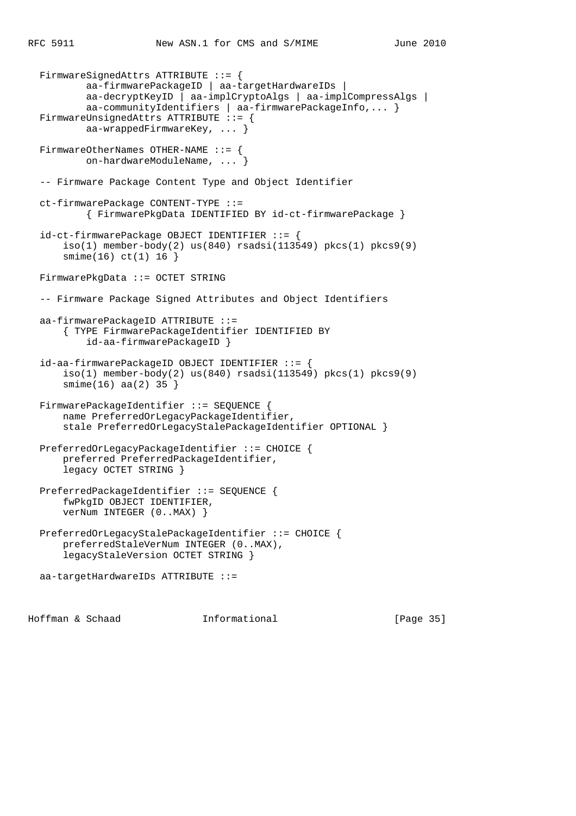```
 FirmwareSignedAttrs ATTRIBUTE ::= {
         aa-firmwarePackageID | aa-targetHardwareIDs |
         aa-decryptKeyID | aa-implCryptoAlgs | aa-implCompressAlgs |
         aa-communityIdentifiers | aa-firmwarePackageInfo,... }
FirmwareUnsignedAttrs ATTRIBUTE ::= {
        aa-wrappedFirmwareKey, ... }
 FirmwareOtherNames OTHER-NAME ::= {
        on-hardwareModuleName, ... }
 -- Firmware Package Content Type and Object Identifier
 ct-firmwarePackage CONTENT-TYPE ::=
         { FirmwarePkgData IDENTIFIED BY id-ct-firmwarePackage }
 id-ct-firmwarePackage OBJECT IDENTIFIER ::= {
    iso(1) member-body(2) us(840) rsadsi(113549) pkcs(1) pkcs9(9)
     smime(16) ct(1) 16 }
 FirmwarePkgData ::= OCTET STRING
 -- Firmware Package Signed Attributes and Object Identifiers
 aa-firmwarePackageID ATTRIBUTE ::=
     { TYPE FirmwarePackageIdentifier IDENTIFIED BY
         id-aa-firmwarePackageID }
 id-aa-firmwarePackageID OBJECT IDENTIFIER ::= {
    iso(1) member-body(2) us(840) rsadsi(113549) pkcs(1) pkcs9(9)
     smime(16) aa(2) 35 }
FirmwarePackageIdentifier ::= SEQUENCE {
     name PreferredOrLegacyPackageIdentifier,
     stale PreferredOrLegacyStalePackageIdentifier OPTIONAL }
 PreferredOrLegacyPackageIdentifier ::= CHOICE {
     preferred PreferredPackageIdentifier,
     legacy OCTET STRING }
 PreferredPackageIdentifier ::= SEQUENCE {
     fwPkgID OBJECT IDENTIFIER,
     verNum INTEGER (0..MAX) }
 PreferredOrLegacyStalePackageIdentifier ::= CHOICE {
     preferredStaleVerNum INTEGER (0..MAX),
     legacyStaleVersion OCTET STRING }
 aa-targetHardwareIDs ATTRIBUTE ::=
```
Hoffman & Schaad Informational [Page 35]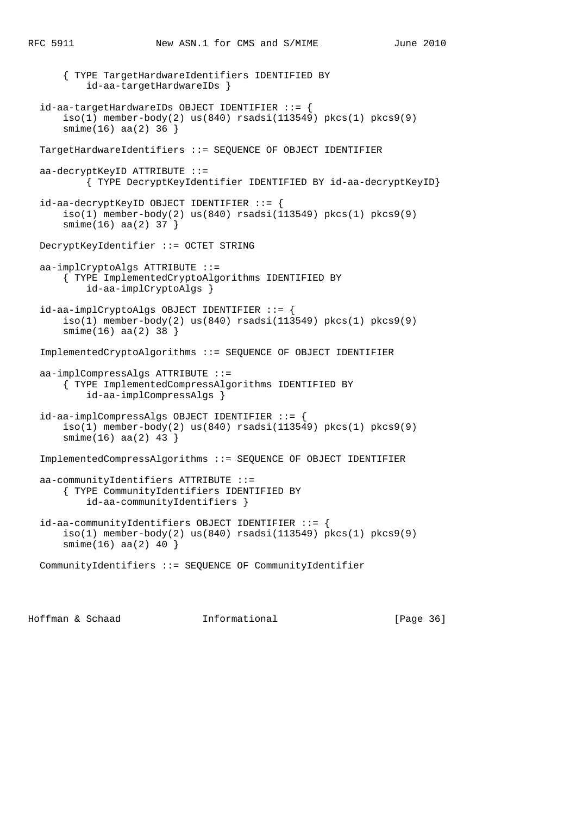{ TYPE TargetHardwareIdentifiers IDENTIFIED BY id-aa-targetHardwareIDs } id-aa-targetHardwareIDs OBJECT IDENTIFIER ::= { iso(1) member-body(2) us(840) rsadsi(113549) pkcs(1) pkcs9(9) smime(16) aa(2) 36 } TargetHardwareIdentifiers ::= SEQUENCE OF OBJECT IDENTIFIER aa-decryptKeyID ATTRIBUTE ::= { TYPE DecryptKeyIdentifier IDENTIFIED BY id-aa-decryptKeyID} id-aa-decryptKeyID OBJECT IDENTIFIER ::= {  $iso(1)$  member-body(2) us(840) rsadsi(113549) pkcs(1) pkcs9(9) smime(16) aa(2) 37 } DecryptKeyIdentifier ::= OCTET STRING aa-implCryptoAlgs ATTRIBUTE ::= { TYPE ImplementedCryptoAlgorithms IDENTIFIED BY id-aa-implCryptoAlgs } id-aa-implCryptoAlgs OBJECT IDENTIFIER ::= {  $iso(1)$  member-body(2) us(840) rsadsi(113549) pkcs(1) pkcs9(9) smime(16) aa(2) 38 } ImplementedCryptoAlgorithms ::= SEQUENCE OF OBJECT IDENTIFIER aa-implCompressAlgs ATTRIBUTE ::= { TYPE ImplementedCompressAlgorithms IDENTIFIED BY id-aa-implCompressAlgs } id-aa-implCompressAlgs OBJECT IDENTIFIER ::= {  $iso(1)$  member-body(2) us(840) rsadsi(113549) pkcs(1) pkcs9(9) smime(16) aa(2) 43 } ImplementedCompressAlgorithms ::= SEQUENCE OF OBJECT IDENTIFIER aa-communityIdentifiers ATTRIBUTE ::= { TYPE CommunityIdentifiers IDENTIFIED BY id-aa-communityIdentifiers } id-aa-communityIdentifiers OBJECT IDENTIFIER ::= { iso(1) member-body(2) us(840) rsadsi(113549) pkcs(1) pkcs9(9) smime(16) aa(2) 40 } CommunityIdentifiers ::= SEQUENCE OF CommunityIdentifier

Hoffman & Schaad Informational [Page 36]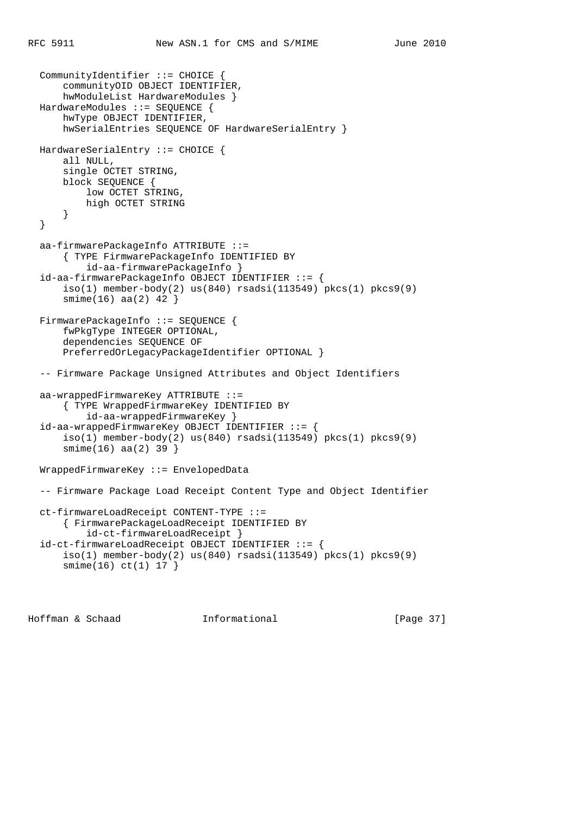```
 CommunityIdentifier ::= CHOICE {
     communityOID OBJECT IDENTIFIER,
     hwModuleList HardwareModules }
 HardwareModules ::= SEQUENCE {
     hwType OBJECT IDENTIFIER,
     hwSerialEntries SEQUENCE OF HardwareSerialEntry }
 HardwareSerialEntry ::= CHOICE {
    all NULL,
     single OCTET STRING,
     block SEQUENCE {
         low OCTET STRING,
         high OCTET STRING
     }
 }
 aa-firmwarePackageInfo ATTRIBUTE ::=
     { TYPE FirmwarePackageInfo IDENTIFIED BY
         id-aa-firmwarePackageInfo }
 id-aa-firmwarePackageInfo OBJECT IDENTIFIER ::= {
    iso(1) member-body(2) us(840) rsadsi(113549) pkcs(1) pkcs9(9)
     smime(16) aa(2) 42 }
 FirmwarePackageInfo ::= SEQUENCE {
     fwPkgType INTEGER OPTIONAL,
     dependencies SEQUENCE OF
     PreferredOrLegacyPackageIdentifier OPTIONAL }
 -- Firmware Package Unsigned Attributes and Object Identifiers
 aa-wrappedFirmwareKey ATTRIBUTE ::=
     { TYPE WrappedFirmwareKey IDENTIFIED BY
        id-aa-wrappedFirmwareKey }
 id-aa-wrappedFirmwareKey OBJECT IDENTIFIER ::= {
    iso(1) member-body(2) us(840) rsadsi(113549) pkcs(1) pkcs9(9)
     smime(16) aa(2) 39 }
 WrappedFirmwareKey ::= EnvelopedData
 -- Firmware Package Load Receipt Content Type and Object Identifier
 ct-firmwareLoadReceipt CONTENT-TYPE ::=
     { FirmwarePackageLoadReceipt IDENTIFIED BY
         id-ct-firmwareLoadReceipt }
 id-ct-firmwareLoadReceipt OBJECT IDENTIFIER ::= {
     iso(1) member-body(2) us(840) rsadsi(113549) pkcs(1) pkcs9(9)
     smime(16) ct(1) 17 }
```
Hoffman & Schaad Informational [Page 37]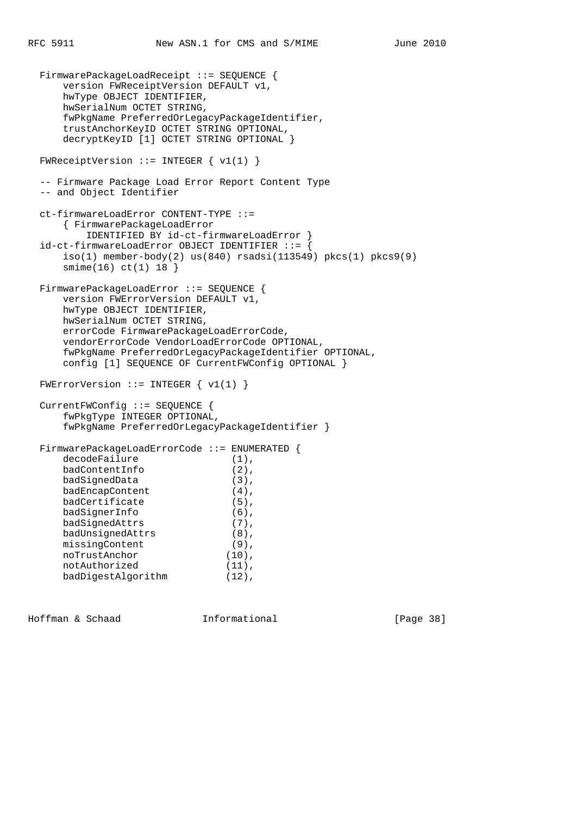```
 FirmwarePackageLoadReceipt ::= SEQUENCE {
      version FWReceiptVersion DEFAULT v1,
      hwType OBJECT IDENTIFIER,
     hwSerialNum OCTET STRING,
      fwPkgName PreferredOrLegacyPackageIdentifier,
      trustAnchorKeyID OCTET STRING OPTIONAL,
      decryptKeyID [1] OCTET STRING OPTIONAL }
 FWReceiptVersion ::= INTEGER \{ v1(1) \} -- Firmware Package Load Error Report Content Type
  -- and Object Identifier
  ct-firmwareLoadError CONTENT-TYPE ::=
      { FirmwarePackageLoadError
         IDENTIFIED BY id-ct-firmwareLoadError }
 id-ct-firmwareLoadError OBJECT IDENTIFIER ::= {
     iso(1) member-body(2) us(840) rsadsi(113549) pkcs(1) pkcs9(9)
      smime(16) ct(1) 18 }
 FirmwarePackageLoadError ::= SEQUENCE {
      version FWErrorVersion DEFAULT v1,
      hwType OBJECT IDENTIFIER,
      hwSerialNum OCTET STRING,
      errorCode FirmwarePackageLoadErrorCode,
      vendorErrorCode VendorLoadErrorCode OPTIONAL,
      fwPkgName PreferredOrLegacyPackageIdentifier OPTIONAL,
      config [1] SEQUENCE OF CurrentFWConfig OPTIONAL }
 FWErrorVersion ::= INTEGER \{ v1(1) \} CurrentFWConfig ::= SEQUENCE {
      fwPkgType INTEGER OPTIONAL,
      fwPkgName PreferredOrLegacyPackageIdentifier }
  FirmwarePackageLoadErrorCode ::= ENUMERATED {
    decodeFailure (1),
badContentInfo (2),
badSignedData (3),
badEncapContent (4),
badCertificate (5),
badSignerInfo (6),
badSignedAttrs (7),
badUnsignedAttrs (8),
missingContent (9),
noTrustAnchor (10),
notAuthorized (11),
     badDigestAlgorithm (12),
```
Hoffman & Schaad Informational [Page 38]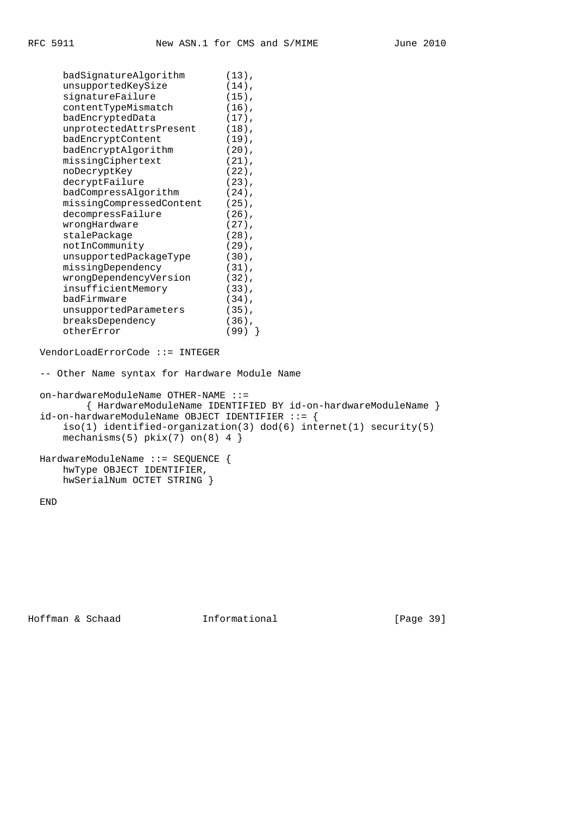badSignatureAlgorithm (13), unsupportedKeySize (14),

| signatureFailure                                 | $(15)$ ,                                                           |
|--------------------------------------------------|--------------------------------------------------------------------|
| contentTypeMismatch                              | $(16)$ ,                                                           |
| badEncryptedData                                 | $(17)$ ,                                                           |
| unprotectedAttrsPresent                          | $(18)$ ,                                                           |
| badEncryptContent                                | $(19)$ ,                                                           |
| badEncryptAlgorithm                              | $(20)$ ,                                                           |
| missingCiphertext                                | $(21)$ ,                                                           |
| noDecryptKey                                     | $(22)$ ,                                                           |
| decryptFailure                                   | $(23)$ ,                                                           |
| badCompressAlgorithm                             | $(24)$ ,                                                           |
| missingCompressedContent                         | $(25)$ ,                                                           |
| decompressFailure                                | $(26)$ ,                                                           |
| wrongHardware                                    | $(27)$ ,                                                           |
| stalePackage                                     | $(28)$ ,                                                           |
| notInCommunity                                   | $(29)$ ,                                                           |
| unsupportedPackageType                           | $(30)$ ,                                                           |
| missingDependency                                | $(31)$ ,                                                           |
| wrongDependencyVersion                           | $(32)$ ,                                                           |
| insufficientMemory                               | $(33)$ ,                                                           |
| badFirmware                                      | $(34)$ ,                                                           |
| unsupportedParameters                            | $(35)$ ,                                                           |
| breaksDependency                                 | $(36)$ ,                                                           |
| otherError                                       | $(99)$ }                                                           |
|                                                  |                                                                    |
| VendorLoadErrorCode ::= INTEGER                  |                                                                    |
| -- Other Name syntax for Hardware Module Name    |                                                                    |
|                                                  |                                                                    |
| $on$ -hardwareModuleName OTHER-NAME $::=$        |                                                                    |
|                                                  | { HardwareModuleName IDENTIFIED BY id-on-hardwareModuleName }      |
| id-on-hardwareModuleName OBJECT IDENTIFIER ::= { |                                                                    |
|                                                  | $iso(1)$ identified-organization(3) dod(6) internet(1) security(5) |
| mechanisms(5) $pkix(7)$ on(8) 4 }                |                                                                    |
|                                                  |                                                                    |
| HardwareModuleName ::= SEQUENCE {                |                                                                    |
| hwType OBJECT IDENTIFIER,                        |                                                                    |
| hwSerialNum OCTET STRING }                       |                                                                    |
|                                                  |                                                                    |
| END                                              |                                                                    |
|                                                  |                                                                    |

Hoffman & Schaad **Informational** [Page 39]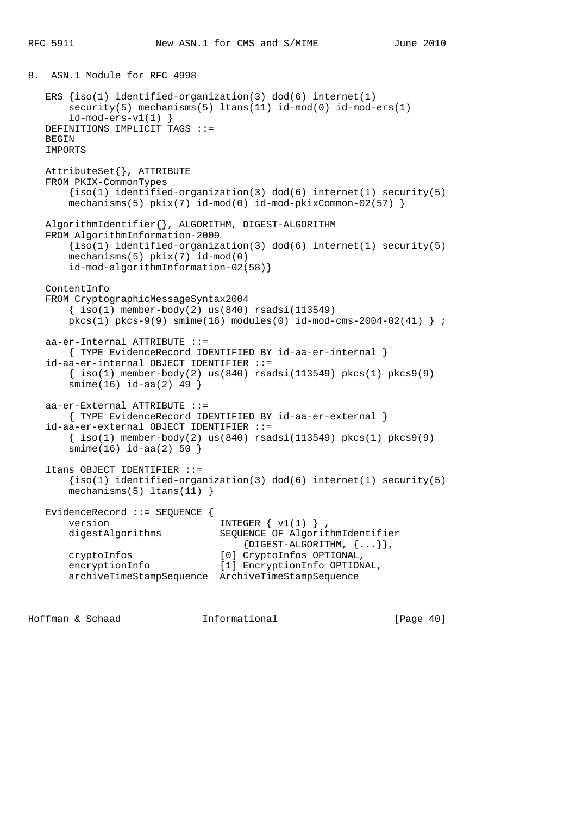8. ASN.1 Module for RFC 4998

```
ERS {iso(1)} identified-organization(3) dod(6) internet(1)
    security(5) mechanisms(5) ltans(11) id-mod(0) id-mod-ers(1)id-mod-ers-v1(1) }
 DEFINITIONS IMPLICIT TAGS ::=
 BEGIN
 IMPORTS
 AttributeSet{}, ATTRIBUTE
 FROM PKIX-CommonTypes
    \{iso(1) identified-organization(3) dod(6) internet(1) security(5)
    mechanisms(5) pkix(7) id-mod(0) id-mod-pkixCommon-02(57) AlgorithmIdentifier{}, ALGORITHM, DIGEST-ALGORITHM
 FROM AlgorithmInformation-2009
    \{iso(1) identified-organization(3) dod(6) internet(1) security(5)
     mechanisms(5) pkix(7) id-mod(0)
     id-mod-algorithmInformation-02(58)}
 ContentInfo
 FROM CryptographicMessageSyntax2004
    \{ iso(1) member-body(2) us(840) rsadsi(113549)pkcs(1) pkcs-9(9) smime(16) modules(0) id-mod-cms-2004-02(41) } ;
 aa-er-Internal ATTRIBUTE ::=
     { TYPE EvidenceRecord IDENTIFIED BY id-aa-er-internal }
 id-aa-er-internal OBJECT IDENTIFIER ::=
    \{\text{iso}(1) \text{ member-body}(2) \text{ us}(840) \text{ rsadsi}(113549) \text{ pkcs}(1) \text{ pkcs}(9)\} smime(16) id-aa(2) 49 }
 aa-er-External ATTRIBUTE ::=
     { TYPE EvidenceRecord IDENTIFIED BY id-aa-er-external }
 id-aa-er-external OBJECT IDENTIFIER ::=
    \{\text{iso}(1) \text{ member-body}(2) \text{ us}(840) \text{ rsadsi}(113549) \text{ pkcs}(1) \text{ pkcs}(9)\} smime(16) id-aa(2) 50 }
 ltans OBJECT IDENTIFIER ::=
     {iso(1) identified-organization(3) dod(6) internet(1) security(5)
    mechanisms(5) ltans(11) }
 EvidenceRecord ::= SEQUENCE {
    version \qquad \qquad \text{INTER } \{ \text{ v1(1)} \},
     digestAlgorithms SEQUENCE OF AlgorithmIdentifier
                                     {DIGEST-ALGORITHM, <math>\{... \}</math>,cryptoInfos [0] CryptoInfos OPTIONAL,<br>encryptionInfo [1] EncryptionInfo OPTION
                                 [1] EncryptionInfo OPTIONAL,
     archiveTimeStampSequence ArchiveTimeStampSequence
```
Hoffman & Schaad Informational [Page 40]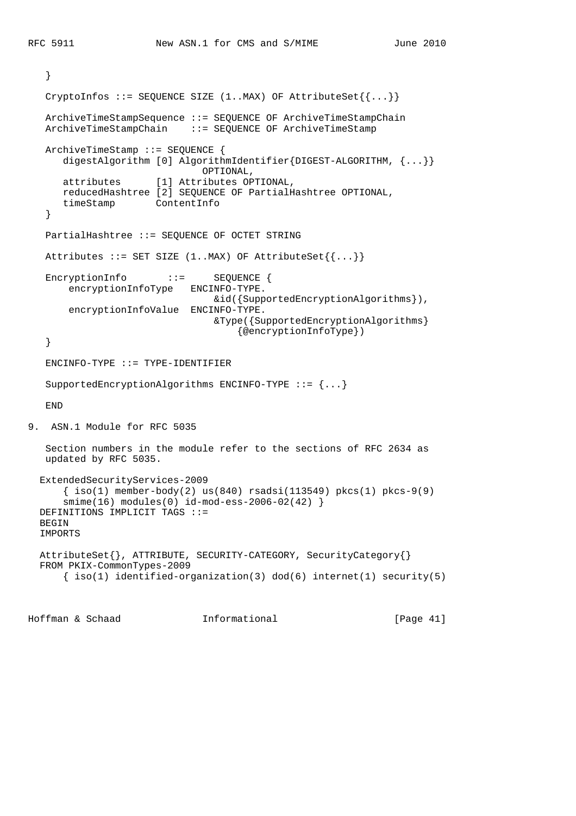```
 }
  CryptoInfos ::= SEQUENCE SIZE (1..MAX) OF AttributeSet\{\ldots\} ArchiveTimeStampSequence ::= SEQUENCE OF ArchiveTimeStampChain
   ArchiveTimeStampChain ::= SEQUENCE OF ArchiveTimeStamp
   ArchiveTimeStamp ::= SEQUENCE {
       digestAlgorithm [0] AlgorithmIdentifier{DIGEST-ALGORITHM, {...}}
                               OPTIONAL,
       attributes [1] Attributes OPTIONAL,
       reducedHashtree [2] SEQUENCE OF PartialHashtree OPTIONAL,
       timeStamp ContentInfo
    }
   PartialHashtree ::= SEQUENCE OF OCTET STRING
  Attributes ::= SET SIZE (1..MAX) OF AttributeSet\{ \{ \ldots \} \}EncryptionInfo ::= SEQUENCE {
       encryptionInfoType ENCINFO-TYPE.
                                 &id({SupportedEncryptionAlgorithms}),
       encryptionInfoValue ENCINFO-TYPE.
                                 &Type({SupportedEncryptionAlgorithms}
                                      {@encryptionInfoType})
    }
  ENCINFO-TYPE ::= TYPE-IDENTIFIER SupportedEncryptionAlgorithms ENCINFO-TYPE ::= {...}
   END
9. ASN.1 Module for RFC 5035
   Section numbers in the module refer to the sections of RFC 2634 as
   updated by RFC 5035.
  ExtendedSecurityServices-2009
       { iso(1) member-body(2) us(840) rsadsi(113549) pkcs(1) pkcs-9(9)
       smime(16) modules(0) id-mod-ess-2006-02(42) }
  DEFINITIONS IMPLICIT TAGS ::=
  BEGIN
  IMPORTS
  AttributeSet{}, ATTRIBUTE, SECURITY-CATEGORY, SecurityCategory{}
  FROM PKIX-CommonTypes-2009
      \{ iso(1) identified-organization(3) dod(6) internet(1) security(5)
```
Hoffman & Schaad Informational [Page 41]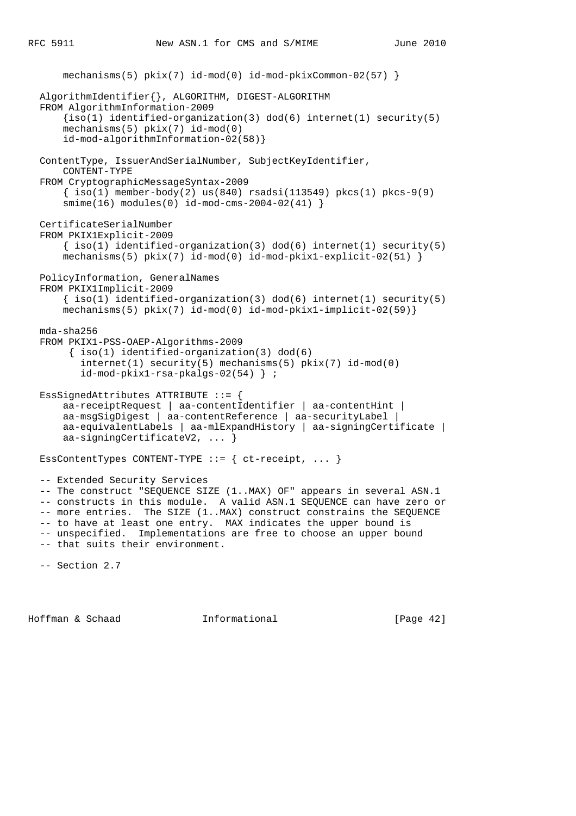```
 mechanisms(5) pkix(7) id-mod(0) id-mod-pkixCommon-02(57) }
 AlgorithmIdentifier{}, ALGORITHM, DIGEST-ALGORITHM
 FROM AlgorithmInformation-2009
    \{iso(1) identified-organization(3) dod(6) internet(1) security(5)
     mechanisms(5) pkix(7) id-mod(0)
     id-mod-algorithmInformation-02(58)}
 ContentType, IssuerAndSerialNumber, SubjectKeyIdentifier,
     CONTENT-TYPE
 FROM CryptographicMessageSyntax-2009
    \{ iso(1) member-body(2) us(840) rsadsi(113549) pkcs(1) pkcs-9(9)
     smime(16) modules(0) id-mod-cms-2004-02(41) }
 CertificateSerialNumber
 FROM PKIX1Explicit-2009
    \{ iso(1) <i>identified-organization(3) <math> dod(6) <i>internet(1) <i>security(5)</i></i>mechanisms(5) pkix(7) id-mod(0) id-mod-pkix1-explicit-02(51) }
 PolicyInformation, GeneralNames
 FROM PKIX1Implicit-2009
    \{ iso(1) <i>identified-organization(3) <math> dod(6) <i>internet(1) <i>security(5)</i></i> mechanisms(5) pkix(7) id-mod(0) id-mod-pkix1-implicit-02(59)}
 mda-sha256
 FROM PKIX1-PSS-OAEP-Algorithms-2009
     \{ iso(1) <i>identified-organization(3) <math> dod(6)</math></i> internet(1) security(5) mechanisms(5) pkix(7) id-mod(0)
        id-mod-pkix1-rsa-pkalgs-02(54) } ;
 EssSignedAttributes ATTRIBUTE ::= {
     aa-receiptRequest | aa-contentIdentifier | aa-contentHint |
     aa-msgSigDigest | aa-contentReference | aa-securityLabel |
     aa-equivalentLabels | aa-mlExpandHistory | aa-signingCertificate |
     aa-signingCertificateV2, ... }
EssContentTypes CONTENT-TYPE ::= { ct-receipt, ... }
 -- Extended Security Services
 -- The construct "SEQUENCE SIZE (1..MAX) OF" appears in several ASN.1
 -- constructs in this module. A valid ASN.1 SEQUENCE can have zero or
-- more entries. The SIZE (1..MAX) construct constrains the SEQUENCE
 -- to have at least one entry. MAX indicates the upper bound is
 -- unspecified. Implementations are free to choose an upper bound
 -- that suits their environment.
 -- Section 2.7
```
Hoffman & Schaad Informational [Page 42]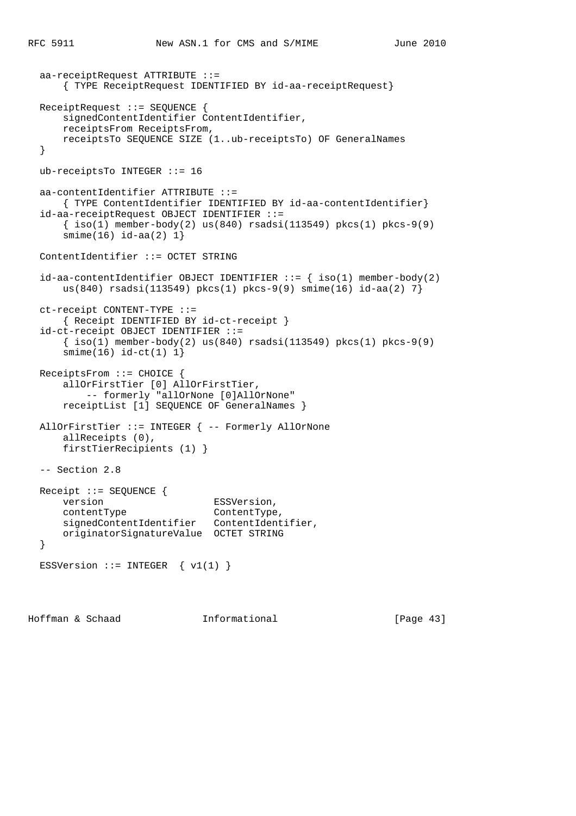```
 aa-receiptRequest ATTRIBUTE ::=
     { TYPE ReceiptRequest IDENTIFIED BY id-aa-receiptRequest}
 ReceiptRequest ::= SEQUENCE {
     signedContentIdentifier ContentIdentifier,
     receiptsFrom ReceiptsFrom,
     receiptsTo SEQUENCE SIZE (1..ub-receiptsTo) OF GeneralNames
 }
 ub-receiptsTo INTEGER ::= 16
 aa-contentIdentifier ATTRIBUTE ::=
    { TYPE ContentIdentifier IDENTIFIED BY id-aa-contentIdentifier}
 id-aa-receiptRequest OBJECT IDENTIFIER ::=
    \{ iso(1) member-body(2) us(840) rsadsi(113549) pkcs(1) pkcs-9(9)
    smin(e(16) id-aa(2) 1}
 ContentIdentifier ::= OCTET STRING
id-aa-contentIdentifier OBJECT IDENTIFIER ::= { iso(1) member-body(2)
    us(840) rsadsi(113549) pkcs(1) pkcs-9(9) smime(16) id-aa(2) 7}
 ct-receipt CONTENT-TYPE ::=
     { Receipt IDENTIFIED BY id-ct-receipt }
 id-ct-receipt OBJECT IDENTIFIER ::=
    \{\text{iso}(1) \text{ member-body}(2) \text{ us}(840) \text{ rsadsi}(113549) \text{ pkcs}(1) \text{ pkcs-9}(9)smin(e(16) id-ct(1) 1) ReceiptsFrom ::= CHOICE {
     allOrFirstTier [0] AllOrFirstTier,
         -- formerly "allOrNone [0]AllOrNone"
     receiptList [1] SEQUENCE OF GeneralNames }
 AllOrFirstTier ::= INTEGER { -- Formerly AllOrNone
     allReceipts (0),
     firstTierRecipients (1) }
 -- Section 2.8
 Receipt ::= SEQUENCE {
   version ESSVersion,
   contentType ContentType,
    signedContentIdentifier ContentIdentifier,
     originatorSignatureValue OCTET STRING
 }
ESSVersion ::= INTEGER \{ v1(1) \}
```
Hoffman & Schaad Informational [Page 43]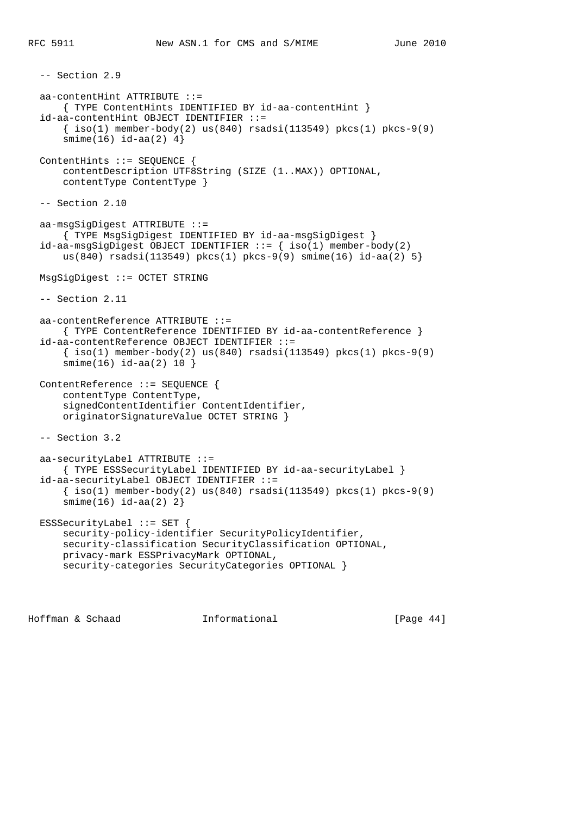```
 -- Section 2.9
 aa-contentHint ATTRIBUTE ::=
    { TYPE ContentHints IDENTIFIED BY id-aa-contentHint }
 id-aa-contentHint OBJECT IDENTIFIER ::=
    \{ iso(1) member-body(2) us(840) rsadsi(113549) pkcs(1) pkcs-9(9)
    smin(e(16) i d - aa(2) 4) ContentHints ::= SEQUENCE {
     contentDescription UTF8String (SIZE (1..MAX)) OPTIONAL,
     contentType ContentType }
 -- Section 2.10
 aa-msgSigDigest ATTRIBUTE ::=
     { TYPE MsgSigDigest IDENTIFIED BY id-aa-msgSigDigest }
id-aa-msgSigDigest OBJECT IDENTIFIER ::= { iso(1) member-body(2)
     us(840) rsadsi(113549) pkcs(1) pkcs-9(9) smime(16) id-aa(2) 5}
 MsgSigDigest ::= OCTET STRING
 -- Section 2.11
 aa-contentReference ATTRIBUTE ::=
     { TYPE ContentReference IDENTIFIED BY id-aa-contentReference }
 id-aa-contentReference OBJECT IDENTIFIER ::=
    \{\text{iso}(1) \text{ member-body}(2) \text{ us}(840) \text{ rsadsi}(113549) \text{ pkcs}(1) \text{ pkcs-9}(9) smime(16) id-aa(2) 10 }
 ContentReference ::= SEQUENCE {
     contentType ContentType,
     signedContentIdentifier ContentIdentifier,
     originatorSignatureValue OCTET STRING }
 -- Section 3.2
 aa-securityLabel ATTRIBUTE ::=
     { TYPE ESSSecurityLabel IDENTIFIED BY id-aa-securityLabel }
 id-aa-securityLabel OBJECT IDENTIFIER ::=
    \{\text{iso}(1) \text{ member-body}(2) \text{ us}(840) \text{ rsadsi}(113549) \text{ pkcs}(1) \text{ pkcs-9}(9) smime(16) id-aa(2) 2}
 ESSSecurityLabel ::= SET {
     security-policy-identifier SecurityPolicyIdentifier,
     security-classification SecurityClassification OPTIONAL,
     privacy-mark ESSPrivacyMark OPTIONAL,
     security-categories SecurityCategories OPTIONAL }
```
Hoffman & Schaad Informational [Page 44]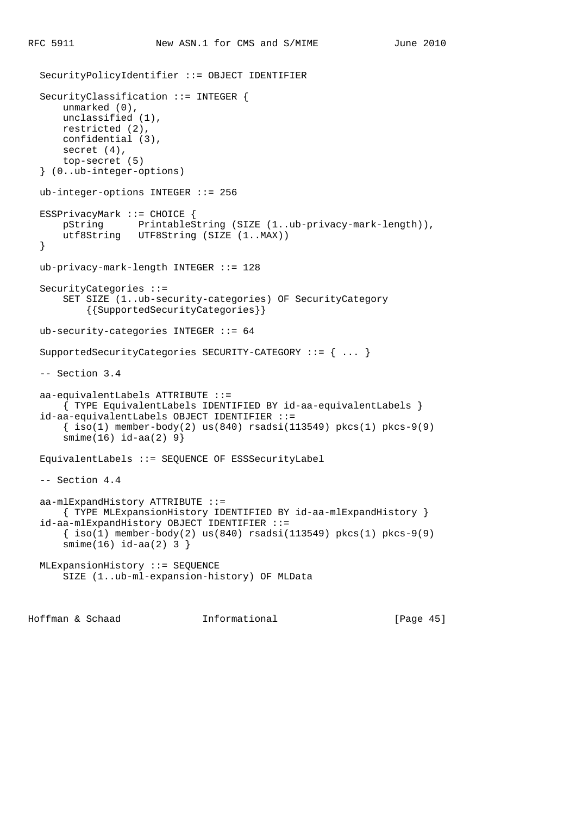```
 SecurityPolicyIdentifier ::= OBJECT IDENTIFIER
 SecurityClassification ::= INTEGER {
     unmarked (0),
     unclassified (1),
     restricted (2),
     confidential (3),
     secret (4),
     top-secret (5)
 } (0..ub-integer-options)
 ub-integer-options INTEGER ::= 256
 ESSPrivacyMark ::= CHOICE {
     pString PrintableString (SIZE (1..ub-privacy-mark-length)),
     utf8String UTF8String (SIZE (1..MAX))
 }
 ub-privacy-mark-length INTEGER ::= 128
 SecurityCategories ::=
     SET SIZE (1..ub-security-categories) OF SecurityCategory
         {{SupportedSecurityCategories}}
 ub-security-categories INTEGER ::= 64
 SupportedSecurityCategories SECURITY-CATEGORY ::= { ... }
 -- Section 3.4
 aa-equivalentLabels ATTRIBUTE ::=
     { TYPE EquivalentLabels IDENTIFIED BY id-aa-equivalentLabels }
 id-aa-equivalentLabels OBJECT IDENTIFIER ::=
    \{\text{iso}(1) \text{ member-body}(2) \text{ us}(840) \text{ rsadsi}(113549) \text{ pkcs}(1) \text{ pkcs-9}(9) smime(16) id-aa(2) 9}
 EquivalentLabels ::= SEQUENCE OF ESSSecurityLabel
 -- Section 4.4
 aa-mlExpandHistory ATTRIBUTE ::=
    { TYPE MLExpansionHistory IDENTIFIED BY id-aa-mlExpandHistory }
 id-aa-mlExpandHistory OBJECT IDENTIFIER ::=
     { iso(1) member-body(2) us(840) rsadsi(113549) pkcs(1) pkcs-9(9)
     smime(16) id-aa(2) 3 }
 MLExpansionHistory ::= SEQUENCE
     SIZE (1..ub-ml-expansion-history) OF MLData
```
Hoffman & Schaad Informational [Page 45]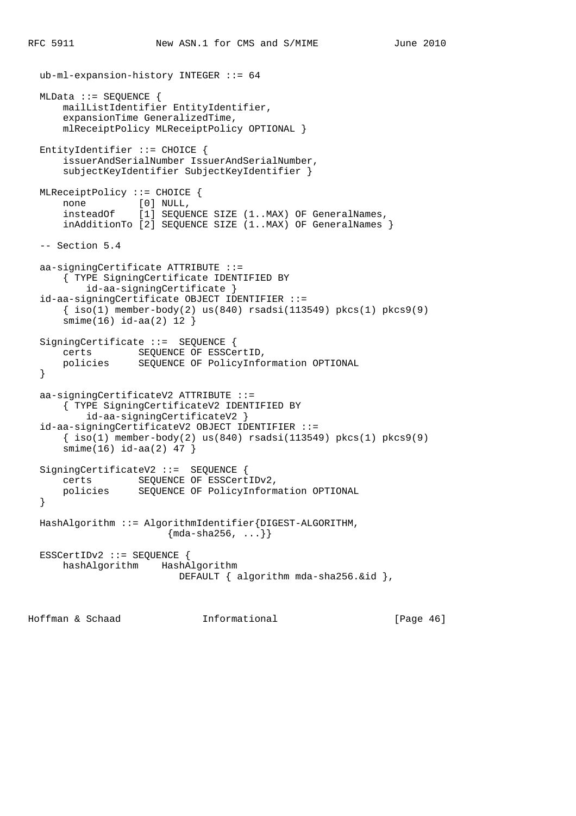```
 ub-ml-expansion-history INTEGER ::= 64
  MLData ::= SEQUENCE {
      mailListIdentifier EntityIdentifier,
       expansionTime GeneralizedTime,
       mlReceiptPolicy MLReceiptPolicy OPTIONAL }
  EntityIdentifier ::= CHOICE {
       issuerAndSerialNumber IssuerAndSerialNumber,
       subjectKeyIdentifier SubjectKeyIdentifier }
  MLReceiptPolicy ::= CHOICE {
none [0] NULL,
 insteadOf [1] SEQUENCE SIZE (1..MAX) OF GeneralNames,
       inAdditionTo [2] SEQUENCE SIZE (1..MAX) OF GeneralNames }
  -- Section 5.4
  aa-signingCertificate ATTRIBUTE ::=
       { TYPE SigningCertificate IDENTIFIED BY
           id-aa-signingCertificate }
   id-aa-signingCertificate OBJECT IDENTIFIER ::=
      \{\text{iso}(1) \text{ member-body}(2) \text{ us}(840) \text{ rsadsi}(113549) \text{ pkcs}(1) \text{ pkcs}(9)\} smime(16) id-aa(2) 12 }
  SigningCertificate ::= SEQUENCE {
       certs SEQUENCE OF ESSCertID,
       policies SEQUENCE OF PolicyInformation OPTIONAL
   }
  aa-signingCertificateV2 ATTRIBUTE ::=
       { TYPE SigningCertificateV2 IDENTIFIED BY
           id-aa-signingCertificateV2 }
   id-aa-signingCertificateV2 OBJECT IDENTIFIER ::=
      \{\text{iso}(1) \text{ member-body}(2) \text{ us}(840) \text{ rsadsi}(113549) \text{ pkcs}(1) \text{ pkcs}(9)\} smime(16) id-aa(2) 47 }
 SigningCertificateV2 ::= SEQUENCE {
      certs SEQUENCE OF ESSCertIDv2,
       policies SEQUENCE OF PolicyInformation OPTIONAL
   }
  HashAlgorithm ::= AlgorithmIdentifier{DIGEST-ALGORITHM,
                         \{mda - sha256, ... \} ESSCertIDv2 ::= SEQUENCE {
      hashAlgorithm HashAlgorithm
                           DEFAULT { algorithm mda-sha256.&id },
```
Hoffman & Schaad Informational [Page 46]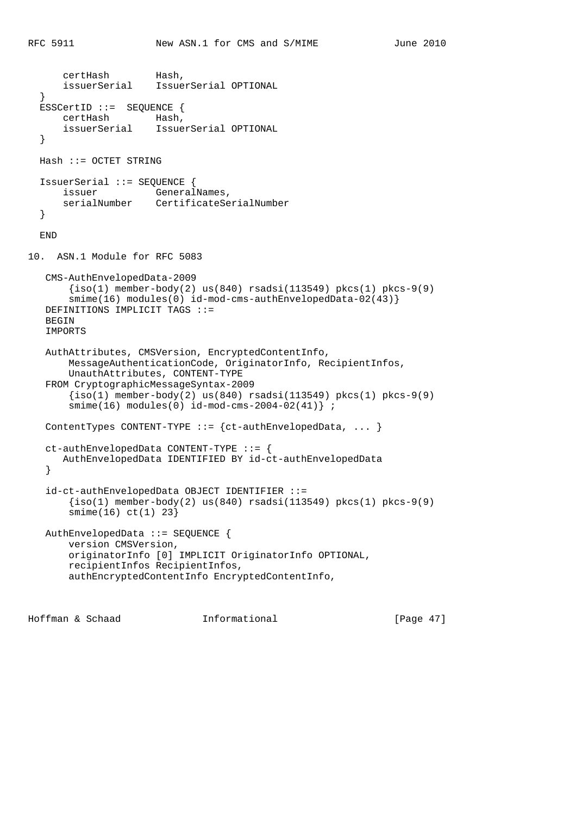```
certHash Hash,<br>issuerSerial Issue
                      IssuerSerial OPTIONAL
   }
  ESSCertID ::= SEQUENCE {
      certHash Hash,
       issuerSerial IssuerSerial OPTIONAL
   }
  Hash ::= OCTET STRING
  IssuerSerial ::= SEQUENCE {
     issuer GeneralNames,
       serialNumber CertificateSerialNumber
   }
  END
10. ASN.1 Module for RFC 5083
   CMS-AuthEnvelopedData-2009
      \{iso(1) member-body(2) us(840) rsadsi(113549) pkcs(1) pkcs-9(9)
       smime(16) modules(0) id-mod-cms-authEnvelopedData-02(43)}
   DEFINITIONS IMPLICIT TAGS ::=
  BEGIN
   IMPORTS
   AuthAttributes, CMSVersion, EncryptedContentInfo,
       MessageAuthenticationCode, OriginatorInfo, RecipientInfos,
       UnauthAttributes, CONTENT-TYPE
   FROM CryptographicMessageSyntax-2009
        {iso(1) member-body(2) us(840) rsadsi(113549) pkcs(1) pkcs-9(9)
        smime(16) modules(0) id-mod-cms-2004-02(41)} ;
   ContentTypes CONTENT-TYPE ::= {ct-authEnvelopedData, ... }
   ct-authEnvelopedData CONTENT-TYPE ::= {
       AuthEnvelopedData IDENTIFIED BY id-ct-authEnvelopedData
    }
    id-ct-authEnvelopedData OBJECT IDENTIFIER ::=
       \{iso(1) member-body(2) us(840) rsadsi(113549) pkcs(1) pkcs-9(9)
        smime(16) ct(1) 23}
   AuthEnvelopedData ::= SEQUENCE {
       version CMSVersion,
       originatorInfo [0] IMPLICIT OriginatorInfo OPTIONAL,
       recipientInfos RecipientInfos,
        authEncryptedContentInfo EncryptedContentInfo,
```
Hoffman & Schaad Informational [Page 47]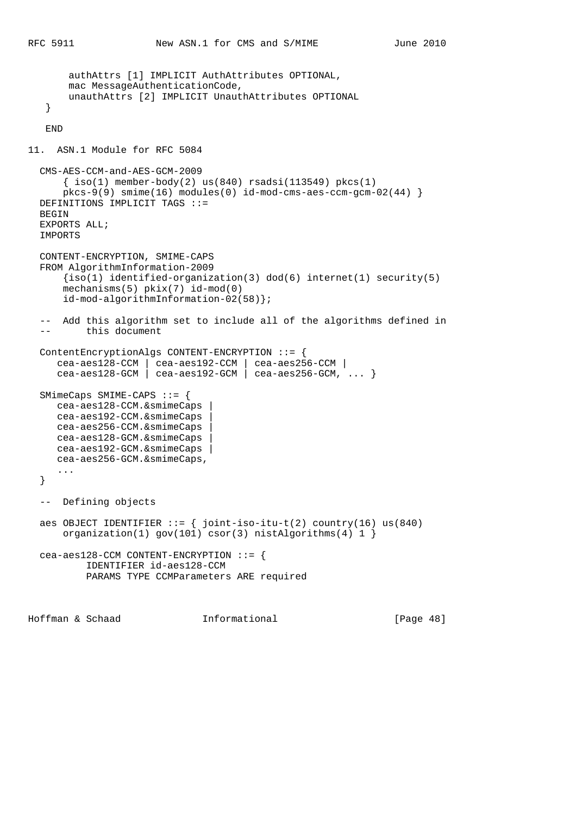```
 authAttrs [1] IMPLICIT AuthAttributes OPTIONAL,
        mac MessageAuthenticationCode,
        unauthAttrs [2] IMPLICIT UnauthAttributes OPTIONAL
    }
    END
11. ASN.1 Module for RFC 5084
  CMS-AES-CCM-and-AES-GCM-2009
     \{ iso(1) member-body(2) us(840) rsadsi(113549) pkcs(1)pkcs-9(9) smime(16) modules(0) id-mod-cms-aes-ccm-qcm-02(44) }
  DEFINITIONS IMPLICIT TAGS ::=
  BEGIN
  EXPORTS ALL;
  IMPORTS
  CONTENT-ENCRYPTION, SMIME-CAPS
  FROM AlgorithmInformation-2009
      \{iso(1) identified-organization(3) dod(6) internet(1) security(5)
       mechanisms(5) pkix(7) id-mod(0)
       id-mod-algorithmInformation-02(58)};
   -- Add this algorithm set to include all of the algorithms defined in
   -- this document
  ContentEncryptionAlgs CONTENT-ENCRYPTION ::= {
     cea-aes128-CCM | cea-aes192-CCM | cea-aes256-CCM |
     cea-aes128-GCM \vert cea-aes192-GCM \vert cea-aes256-GCM, \ldots }
  SMimeCaps SMIME-CAPS ::= {
     cea-aes128-CCM.&smimeCaps |
     cea-aes192-CCM.&smimeCaps |
     cea-aes256-CCM.&smimeCaps |
     cea-aes128-GCM.&smimeCaps |
     cea-aes192-GCM.&smimeCaps |
     cea-aes256-GCM.&smimeCaps,
      ...
   }
   -- Defining objects
 aes OBJECT IDENTIFIER ::= \{ joint-iso-itu-t(2) country(16) us(840) organization(1) gov(101) csor(3) nistAlgorithms(4) 1 }
  cea-aes128-CCM CONTENT-ENCRYPTION ::= {
           IDENTIFIER id-aes128-CCM
           PARAMS TYPE CCMParameters ARE required
```
Hoffman & Schaad Informational [Page 48]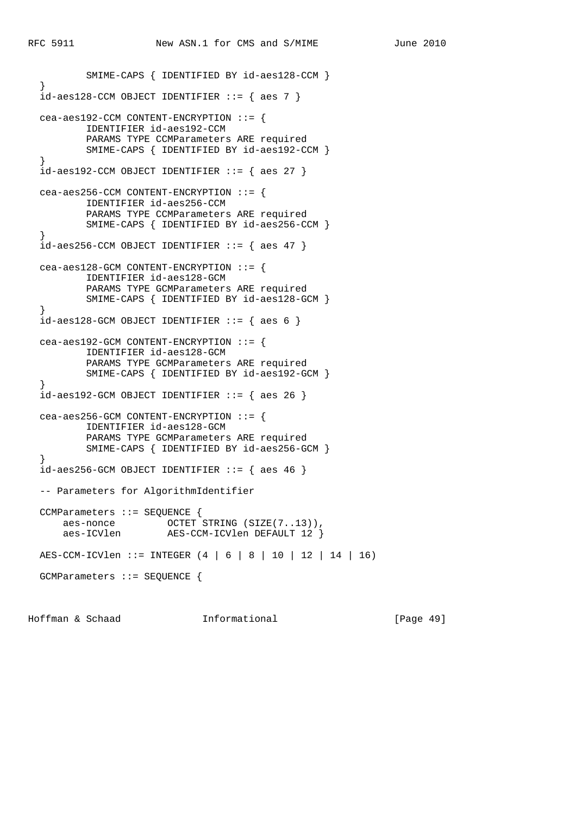```
 SMIME-CAPS { IDENTIFIED BY id-aes128-CCM }
 }
 id-aes128-CCM OBJECT IDENTIFIER ::= { aes 7 }
  cea-aes192-CCM CONTENT-ENCRYPTION ::= {
          IDENTIFIER id-aes192-CCM
          PARAMS TYPE CCMParameters ARE required
          SMIME-CAPS { IDENTIFIED BY id-aes192-CCM }
  }
 id-aes192-CCM OBJECT IDENTIFIER ::= { aes 27 }
  cea-aes256-CCM CONTENT-ENCRYPTION ::= {
          IDENTIFIER id-aes256-CCM
          PARAMS TYPE CCMParameters ARE required
          SMIME-CAPS { IDENTIFIED BY id-aes256-CCM }
  }
 id-aes256-CCM OBJECT IDENTIFYER ::= { aes 47 } cea-aes128-GCM CONTENT-ENCRYPTION ::= {
          IDENTIFIER id-aes128-GCM
           PARAMS TYPE GCMParameters ARE required
          SMIME-CAPS { IDENTIFIED BY id-aes128-GCM }
 }
 id-aes128-GCM OBJECT IDENTIFIER ::= { aes 6 } cea-aes192-GCM CONTENT-ENCRYPTION ::= {
          IDENTIFIER id-aes128-GCM
          PARAMS TYPE GCMParameters ARE required
          SMIME-CAPS { IDENTIFIED BY id-aes192-GCM }
  }
 id-aes192-GCM OBJECT IDENTIFIER ::= { aes 26 } cea-aes256-GCM CONTENT-ENCRYPTION ::= {
          IDENTIFIER id-aes128-GCM
          PARAMS TYPE GCMParameters ARE required
          SMIME-CAPS { IDENTIFIED BY id-aes256-GCM }
  }
 id-aes256-GCM OBJECT IDENTIFYER ::= \{ aes 46 \} -- Parameters for AlgorithmIdentifier
  CCMParameters ::= SEQUENCE {
     aes-nonce OCTET STRING (SIZE(7..13)),
      aes-ICVlen AES-CCM-ICVlen DEFAULT 12 }
  AES-CCM-ICVlen ::= INTEGER (4 | 6 | 8 | 10 | 12 | 14 | 16)
  GCMParameters ::= SEQUENCE {
```
Hoffman & Schaad Informational [Page 49]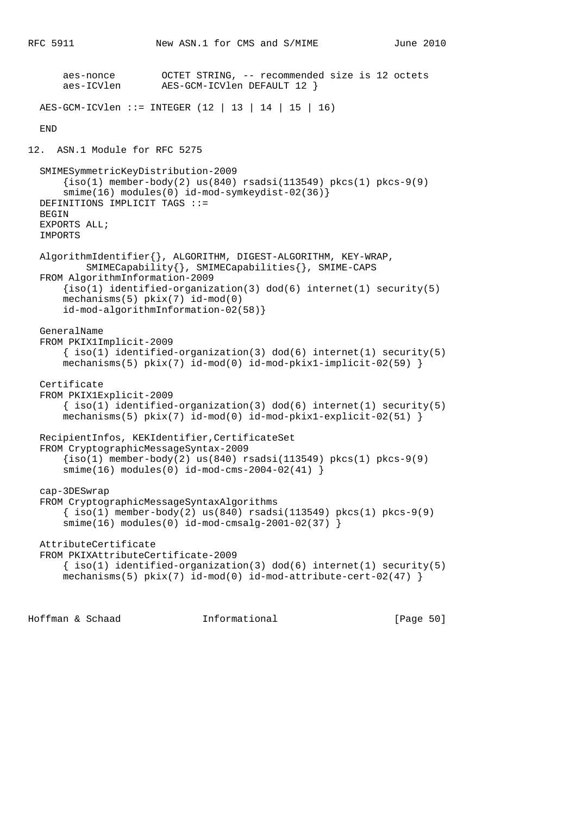```
 aes-nonce OCTET STRING, -- recommended size is 12 octets
                       AES-GCM-ICVlen DEFAULT 12 }
  AES-GCM-ICVlen ::= INTEGER (12 | 13 | 14 | 15 | 16)
  END
12. ASN.1 Module for RFC 5275
   SMIMESymmetricKeyDistribution-2009
      \{iso(1) member-body(2) us(840) rasdis(113549) pkcs(1) pkcs-9(9) smime(16) modules(0) id-mod-symkeydist-02(36)}
  DEFINITIONS IMPLICIT TAGS ::=
  BEGIN
  EXPORTS ALL;
  IMPORTS
  AlgorithmIdentifier{}, ALGORITHM, DIGEST-ALGORITHM, KEY-WRAP,
           SMIMECapability{}, SMIMECapabilities{}, SMIME-CAPS
  FROM AlgorithmInformation-2009
      \{iso(1) identified-organization(3) dod(6) internet(1) security(5)
       mechanisms(5) pkix(7) id-mod(0)
       id-mod-algorithmInformation-02(58)}
  GeneralName
  FROM PKIX1Implicit-2009
      \{ iso(1) <i>identified-organization(3) <math> dod(6) <i>internet(1) <i>security(5)</i></i>mechanisms(5) pix(7) id-mod(0) id-mod-pkix1-implicit-02(59) }
  Certificate
  FROM PKIX1Explicit-2009
      \{ iso(1) <i>identified-organization(3) <math> dod(6) <i>internet(1) <i>security(5)</i></i> mechanisms(5) pkix(7) id-mod(0) id-mod-pkix1-explicit-02(51) }
  RecipientInfos, KEKIdentifier,CertificateSet
  FROM CryptographicMessageSyntax-2009
      \{iso(1) member-body(2) us(840) rsadsi(113549) pkcs(1) pkcs-9(9)
       smime(16) modules(0) id-mod-cms-2004-02(41) }
  cap-3DESwrap
  FROM CryptographicMessageSyntaxAlgorithms
       { iso(1) member-body(2) us(840) rsadsi(113549) pkcs(1) pkcs-9(9)
       smime(16) modules(0) id-mod-cmsalg-2001-02(37) }
  AttributeCertificate
  FROM PKIXAttributeCertificate-2009
      \{ iso(1) identified-organization(3) dod(6) internet(1) security(5)mechanisms(5) pkix(7) id-mod(0) id-mod-attribute-cent-02(47)
```
Hoffman & Schaad Informational [Page 50]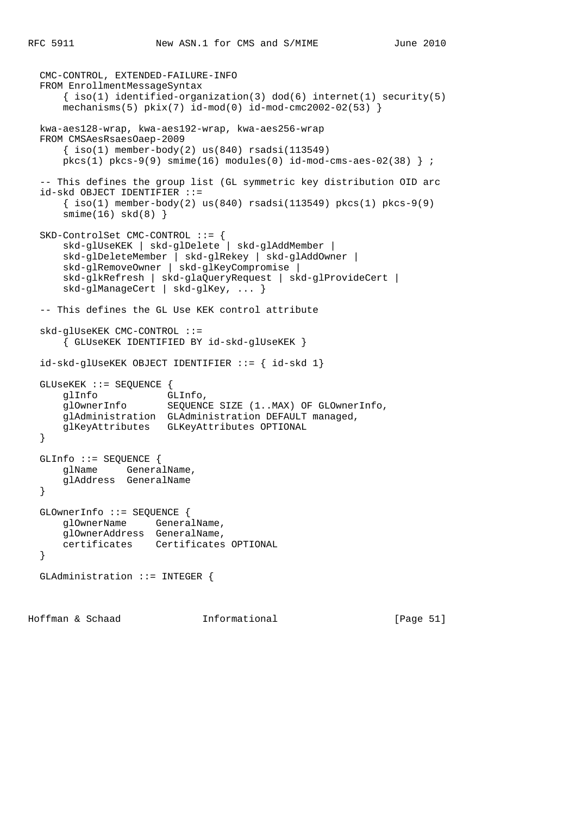```
 CMC-CONTROL, EXTENDED-FAILURE-INFO
 FROM EnrollmentMessageSyntax
    \{ iso(1) <i>identified-organization(3) <math> dod(6) <i>internet(1) <i>security(5)</i></i>mechanisms(5) pkix(7) id-mod(0) id-mod-cmc2002-02(53) kwa-aes128-wrap, kwa-aes192-wrap, kwa-aes256-wrap
 FROM CMSAesRsaesOaep-2009
    \{ iso(1) member-body(2) us(840) rsadsi(113549)pkcs(1) pkcs-9(9) smin(e16) modles(0) id-mod-cms-aes-02(38) ;
 -- This defines the group list (GL symmetric key distribution OID arc
 id-skd OBJECT IDENTIFIER ::=
    \{\text{iso}(1) \text{ member-body}(2) \text{ us}(840) \text{ rsadsi}(113549) \text{ pkcs}(1) \text{ pkcs-9}(9)smin(e(16) skd(8) }
 SKD-ControlSet CMC-CONTROL ::= {
     skd-glUseKEK | skd-glDelete | skd-glAddMember |
     skd-glDeleteMember | skd-glRekey | skd-glAddOwner |
     skd-glRemoveOwner | skd-glKeyCompromise |
     skd-glkRefresh | skd-glaQueryRequest | skd-glProvideCert |
     skd-glManageCert | skd-glKey, ... }
 -- This defines the GL Use KEK control attribute
 skd-glUseKEK CMC-CONTROL ::=
     { GLUseKEK IDENTIFIED BY id-skd-glUseKEK }
 id-skd-glUseKEK OBJECT IDENTIFIER ::= { id-skd 1}
 GLUseKEK ::= SEQUENCE {
     glInfo GLInfo,
     glOwnerInfo SEQUENCE SIZE (1..MAX) OF GLOwnerInfo,
     glAdministration GLAdministration DEFAULT managed,
     glKeyAttributes GLKeyAttributes OPTIONAL
 }
 GLInfo ::= SEQUENCE {
     glName GeneralName,
     glAddress GeneralName
 }
 GLOwnerInfo ::= SEQUENCE {
     glOwnerName GeneralName,
     glOwnerAddress GeneralName,
     certificates Certificates OPTIONAL
 }
 GLAdministration ::= INTEGER {
```
Hoffman & Schaad Informational [Page 51]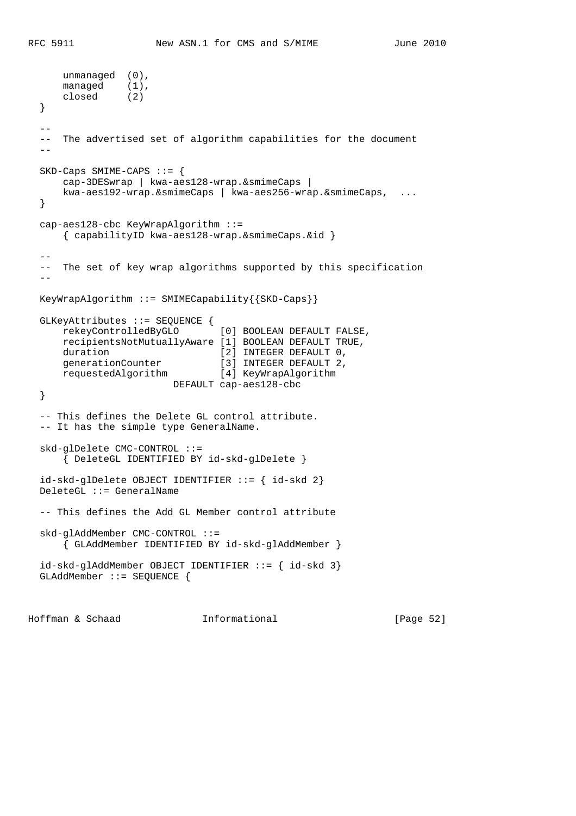```
 unmanaged (0),
managed (1),
 closed (2)
  }
- -- The advertised set of algorithm capabilities for the document
 - - SKD-Caps SMIME-CAPS ::= {
      cap-3DESwrap | kwa-aes128-wrap.&smimeCaps |
      kwa-aes192-wrap.&smimeCaps | kwa-aes256-wrap.&smimeCaps, ...
  }
  cap-aes128-cbc KeyWrapAlgorithm ::=
      { capabilityID kwa-aes128-wrap.&smimeCaps.&id }
- -- The set of key wrap algorithms supported by this specification
-KeyWrapAlgorithm ::= SMIMECapability\{SKD-Caps\} GLKeyAttributes ::= SEQUENCE {
      rekeyControlledByGLO [0] BOOLEAN DEFAULT FALSE,
      recipientsNotMutuallyAware [1] BOOLEAN DEFAULT TRUE,
     duration [2] INTEGER DEFAULT 0,<br>generationCounter [3] INTEGER DEFAULT 2,
generationCounter [3] INTEGER DEFAULT 2,
 requestedAlgorithm [4] KeyWrapAlgorithm
                       DEFAULT cap-aes128-cbc
  }
  -- This defines the Delete GL control attribute.
  -- It has the simple type GeneralName.
  skd-glDelete CMC-CONTROL ::=
      { DeleteGL IDENTIFIED BY id-skd-glDelete }
  id-skd-glDelete OBJECT IDENTIFIER ::= { id-skd 2}
  DeleteGL ::= GeneralName
  -- This defines the Add GL Member control attribute
  skd-glAddMember CMC-CONTROL ::=
      { GLAddMember IDENTIFIED BY id-skd-glAddMember }
  id-skd-glAddMember OBJECT IDENTIFIER ::= { id-skd 3}
  GLAddMember ::= SEQUENCE {
```
Hoffman & Schaad Informational [Page 52]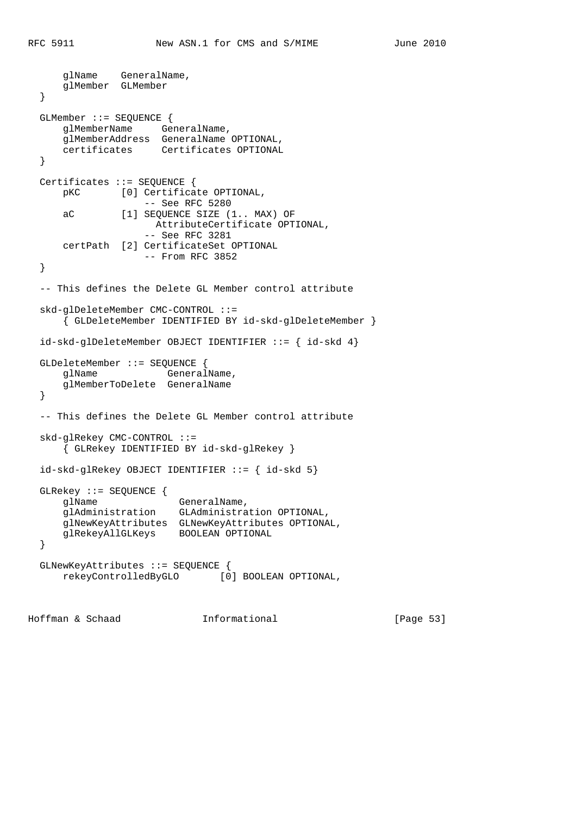```
 glName GeneralName,
    glMember GLMember
 }
 GLMember ::= SEQUENCE {
    glMemberName GeneralName,
    glMemberAddress GeneralName OPTIONAL,
    certificates Certificates OPTIONAL
 }
 Certificates ::= SEQUENCE {
    pKC [0] Certificate OPTIONAL,
                  -- See RFC 5280
    aC [1] SEQUENCE SIZE (1.. MAX) OF
                   AttributeCertificate OPTIONAL,
                  -- See RFC 3281
    certPath [2] CertificateSet OPTIONAL
                  -- From RFC 3852
 }
 -- This defines the Delete GL Member control attribute
 skd-glDeleteMember CMC-CONTROL ::=
     { GLDeleteMember IDENTIFIED BY id-skd-glDeleteMember }
 id-skd-glDeleteMember OBJECT IDENTIFIER ::= { id-skd 4}
 GLDeleteMember ::= SEQUENCE {
   glName GeneralName,
    glMemberToDelete GeneralName
 }
 -- This defines the Delete GL Member control attribute
 skd-glRekey CMC-CONTROL ::=
     { GLRekey IDENTIFIED BY id-skd-glRekey }
 id-skd-glRekey OBJECT IDENTIFIER ::= { id-skd 5}
 GLRekey ::= SEQUENCE {
   glName GeneralName,
    glAdministration GLAdministration OPTIONAL,
    glNewKeyAttributes GLNewKeyAttributes OPTIONAL,
    glRekeyAllGLKeys BOOLEAN OPTIONAL
 }
 GLNewKeyAttributes ::= SEQUENCE {
    rekeyControlledByGLO [0] BOOLEAN OPTIONAL,
```
Hoffman & Schaad Informational [Page 53]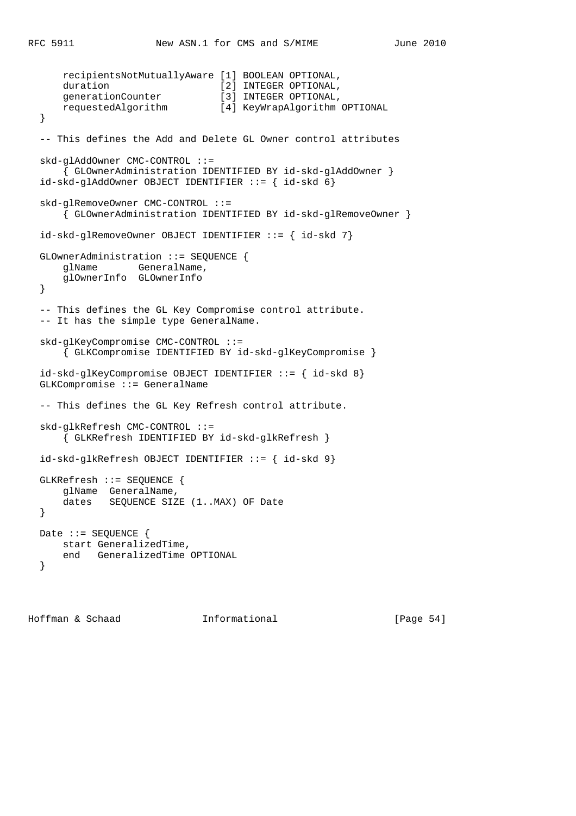```
 recipientsNotMutuallyAware [1] BOOLEAN OPTIONAL,
    duration [2] INTEGER OPTIONAL,
    generationCounter [3] INTEGER OPTIONAL,<br>requestedAlgorithm [4] KeyWrapAlgorithm
                               [4] KeyWrapAlgorithm OPTIONAL
 }
 -- This defines the Add and Delete GL Owner control attributes
 skd-glAddOwner CMC-CONTROL ::=
     { GLOwnerAdministration IDENTIFIED BY id-skd-glAddOwner }
 id-skd-glAddOwner OBJECT IDENTIFIER ::= { id-skd 6}
 skd-glRemoveOwner CMC-CONTROL ::=
     { GLOwnerAdministration IDENTIFIED BY id-skd-glRemoveOwner }
 id-skd-glRemoveOwner OBJECT IDENTIFIER ::= { id-skd 7}
 GLOwnerAdministration ::= SEQUENCE {
    glName GeneralName,
     glOwnerInfo GLOwnerInfo
 }
 -- This defines the GL Key Compromise control attribute.
 -- It has the simple type GeneralName.
 skd-glKeyCompromise CMC-CONTROL ::=
     { GLKCompromise IDENTIFIED BY id-skd-glKeyCompromise }
 id-skd-glKeyCompromise OBJECT IDENTIFIER ::= { id-skd 8}
 GLKCompromise ::= GeneralName
 -- This defines the GL Key Refresh control attribute.
 skd-glkRefresh CMC-CONTROL ::=
     { GLKRefresh IDENTIFIED BY id-skd-glkRefresh }
 id-skd-glkRefresh OBJECT IDENTIFIER ::= { id-skd 9}
 GLKRefresh ::= SEQUENCE {
     glName GeneralName,
     dates SEQUENCE SIZE (1..MAX) OF Date
 }
Date ::= SEQUENCE {
    start GeneralizedTime,
    end GeneralizedTime OPTIONAL
 }
```
Hoffman & Schaad Informational [Page 54]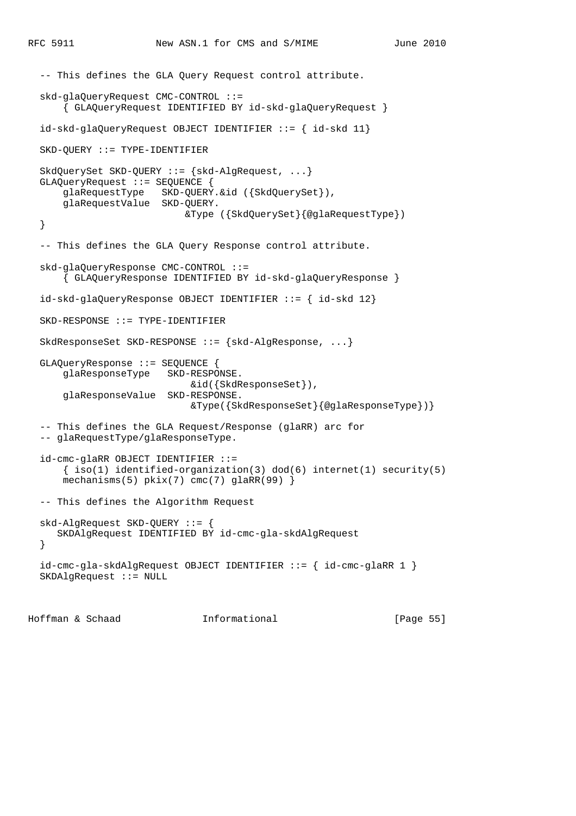```
 -- This defines the GLA Query Request control attribute.
 skd-glaQueryRequest CMC-CONTROL ::=
     { GLAQueryRequest IDENTIFIED BY id-skd-glaQueryRequest }
 id-skd-glaQueryRequest OBJECT IDENTIFIER ::= { id-skd 11}
 SKD-QUERY ::= TYPE-IDENTIFIER
 SkdQuerySet SKD-QUERY ::= {skd-AlgRequest, ...}
 GLAQueryRequest ::= SEQUENCE {
     glaRequestType SKD-QUERY.&id ({SkdQuerySet}),
     glaRequestValue SKD-QUERY.
                           &Type ({SkdQuerySet}{@glaRequestType})
 }
 -- This defines the GLA Query Response control attribute.
 skd-glaQueryResponse CMC-CONTROL ::=
     { GLAQueryResponse IDENTIFIED BY id-skd-glaQueryResponse }
 id-skd-glaQueryResponse OBJECT IDENTIFIER ::= { id-skd 12}
 SKD-RESPONSE ::= TYPE-IDENTIFIER
 SkdResponseSet SKD-RESPONSE ::= {skd-AlgResponse, ...}
 GLAQueryResponse ::= SEQUENCE {
     glaResponseType SKD-RESPONSE.
                            &id({SkdResponseSet}),
     glaResponseValue SKD-RESPONSE.
                            &Type({SkdResponseSet}{@glaResponseType})}
 -- This defines the GLA Request/Response (glaRR) arc for
 -- glaRequestType/glaResponseType.
 id-cmc-glaRR OBJECT IDENTIFIER ::=
    \{ iso(1) <i>identified-organization(3) <math> dod(6) <i>internet(1) <i>security(5)</i></i> mechanisms(5) pkix(7) cmc(7) glaRR(99) }
 -- This defines the Algorithm Request
 skd-AlgRequest SKD-QUERY ::= {
    SKDAlgRequest IDENTIFIED BY id-cmc-gla-skdAlgRequest
 }
 id-cmc-gla-skdAlgRequest OBJECT IDENTIFIER ::= { id-cmc-glaRR 1 }
 SKDAlgRequest ::= NULL
```
Hoffman & Schaad Informational [Page 55]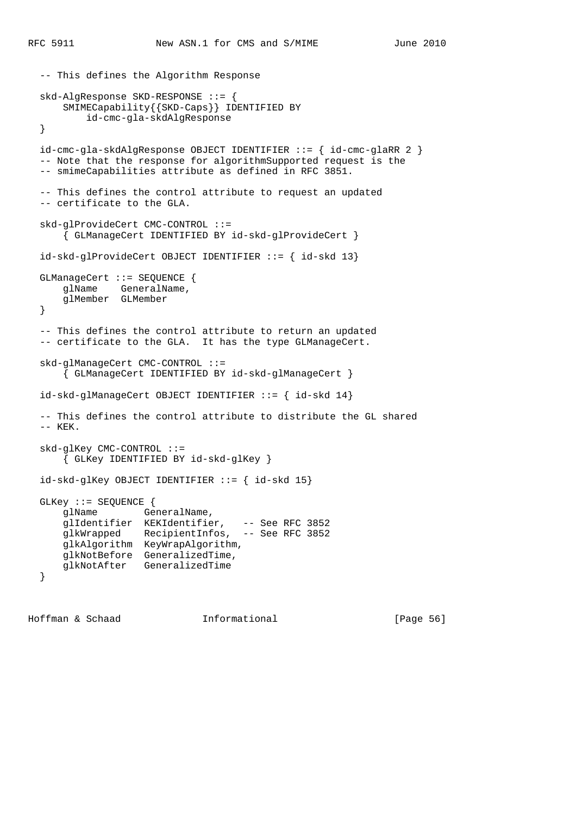```
 -- This defines the Algorithm Response
  skd-AlgResponse SKD-RESPONSE ::= {
      SMIMECapability{{SKD-Caps}} IDENTIFIED BY
          id-cmc-gla-skdAlgResponse
  }
  id-cmc-gla-skdAlgResponse OBJECT IDENTIFIER ::= { id-cmc-glaRR 2 }
  -- Note that the response for algorithmSupported request is the
  -- smimeCapabilities attribute as defined in RFC 3851.
  -- This defines the control attribute to request an updated
  -- certificate to the GLA.
  skd-glProvideCert CMC-CONTROL ::=
       { GLManageCert IDENTIFIED BY id-skd-glProvideCert }
  id-skd-glProvideCert OBJECT IDENTIFIER ::= { id-skd 13}
  GLManageCert ::= SEQUENCE {
      glName GeneralName,
      glMember GLMember
  }
  -- This defines the control attribute to return an updated
 -- certificate to the GLA. It has the type GLManageCert.
  skd-glManageCert CMC-CONTROL ::=
       { GLManageCert IDENTIFIED BY id-skd-glManageCert }
  id-skd-glManageCert OBJECT IDENTIFIER ::= { id-skd 14}
  -- This defines the control attribute to distribute the GL shared
  -- KEK.
  skd-glKey CMC-CONTROL ::=
      { GLKey IDENTIFIED BY id-skd-glKey }
 id-skd-glKey OBJECT IDENTIFYER ::= { id-skd 15} GLKey ::= SEQUENCE {
     glName GeneralName,
 glIdentifier KEKIdentifier, -- See RFC 3852
 glkWrapped RecipientInfos, -- See RFC 3852
      glkAlgorithm KeyWrapAlgorithm,
      glkNotBefore GeneralizedTime,
      glkNotAfter GeneralizedTime
  }
```
Hoffman & Schaad Informational [Page 56]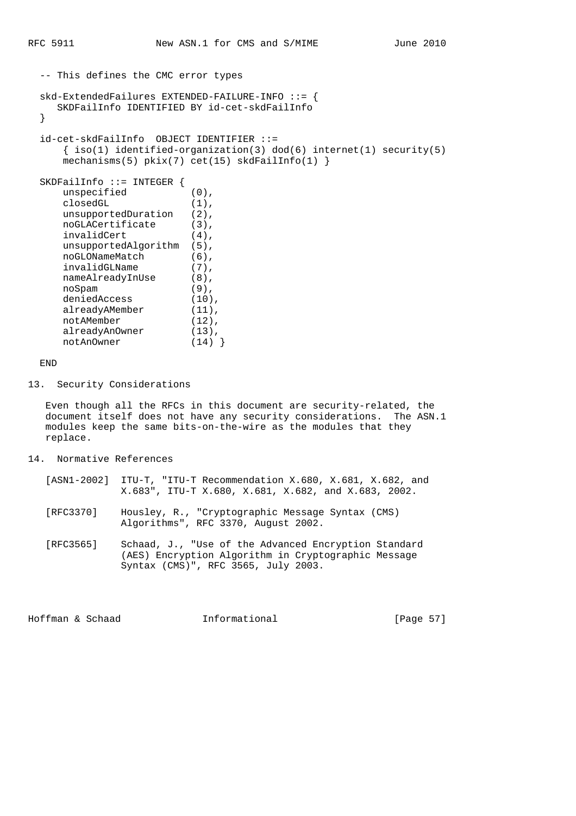```
 -- This defines the CMC error types
  skd-ExtendedFailures EXTENDED-FAILURE-INFO ::= {
    SKDFailInfo IDENTIFIED BY id-cet-skdFailInfo
  }
  id-cet-skdFailInfo OBJECT IDENTIFIER ::=
    \{ iso(1) identified-organization(3) dod(6) internet(1) security(5)mechanisms(5) pkix(7) cet(15) skdFailInfo(1) }
  SKDFailInfo ::= INTEGER {
    unspecified (0),
     closedGL (1),
    unsupportedDuration (2),
    noGLACertificate (3),
     invalidCert (4),
     unsupportedAlgorithm (5),
     noGLONameMatch (6),
 invalidGLName (7),
nameAlreadyInUse (8),
 noSpam (9),
 deniedAccess (10),
alreadyAMember (11),
    notAMember (12),
alreadyAnOwner (13),
 notAnOwner (14) }
```
# END

13. Security Considerations

 Even though all the RFCs in this document are security-related, the document itself does not have any security considerations. The ASN.1 modules keep the same bits-on-the-wire as the modules that they replace.

### 14. Normative References

| [ASN1-2002] ITU-T, "ITU-T Recommendation X.680, X.681, X.682, and |  |                                                     |  |  |
|-------------------------------------------------------------------|--|-----------------------------------------------------|--|--|
|                                                                   |  | X.683", ITU-T X.680, X.681, X.682, and X.683, 2002. |  |  |

- [RFC3370] Housley, R., "Cryptographic Message Syntax (CMS) Algorithms", RFC 3370, August 2002.
	- [RFC3565] Schaad, J., "Use of the Advanced Encryption Standard (AES) Encryption Algorithm in Cryptographic Message Syntax (CMS)", RFC 3565, July 2003.

Hoffman & Schaad **Informational** [Page 57]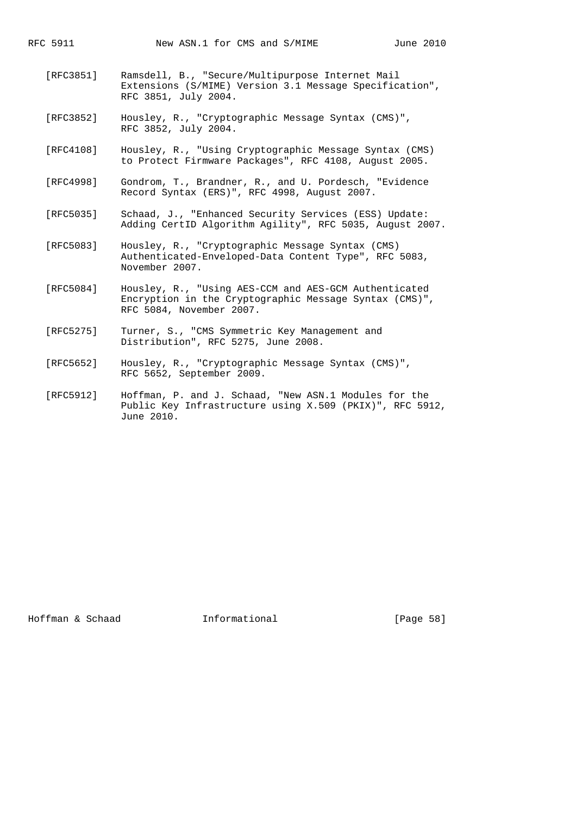- [RFC3851] Ramsdell, B., "Secure/Multipurpose Internet Mail Extensions (S/MIME) Version 3.1 Message Specification", RFC 3851, July 2004.
- [RFC3852] Housley, R., "Cryptographic Message Syntax (CMS)", RFC 3852, July 2004.
- [RFC4108] Housley, R., "Using Cryptographic Message Syntax (CMS) to Protect Firmware Packages", RFC 4108, August 2005.
- [RFC4998] Gondrom, T., Brandner, R., and U. Pordesch, "Evidence Record Syntax (ERS)", RFC 4998, August 2007.
- [RFC5035] Schaad, J., "Enhanced Security Services (ESS) Update: Adding CertID Algorithm Agility", RFC 5035, August 2007.
- [RFC5083] Housley, R., "Cryptographic Message Syntax (CMS) Authenticated-Enveloped-Data Content Type", RFC 5083, November 2007.
- [RFC5084] Housley, R., "Using AES-CCM and AES-GCM Authenticated Encryption in the Cryptographic Message Syntax (CMS)", RFC 5084, November 2007.
- [RFC5275] Turner, S., "CMS Symmetric Key Management and Distribution", RFC 5275, June 2008.
- [RFC5652] Housley, R., "Cryptographic Message Syntax (CMS)", RFC 5652, September 2009.
- [RFC5912] Hoffman, P. and J. Schaad, "New ASN.1 Modules for the Public Key Infrastructure using X.509 (PKIX)", RFC 5912, June 2010.

Hoffman & Schaad Informational [Page 58]